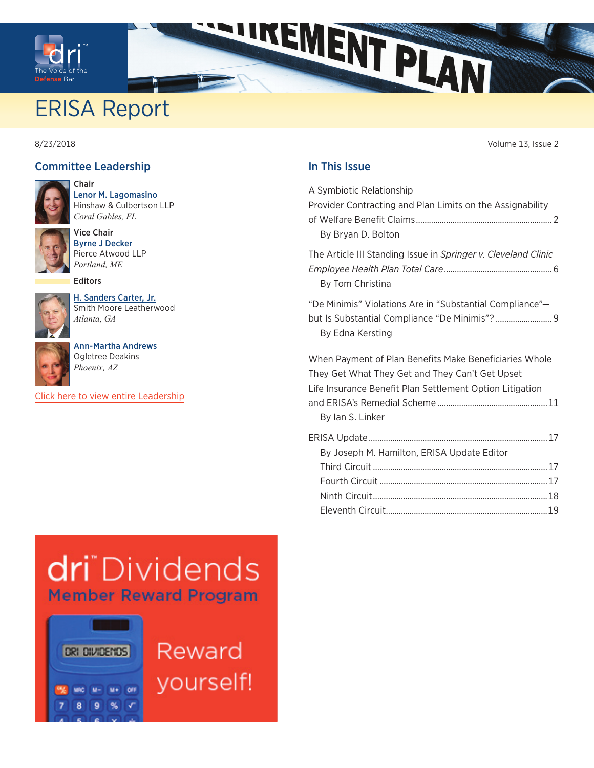<span id="page-0-0"></span>

# ERISA Report

8/23/2018 Volume 13, Issue 2

#### Committee Leadership



Chair [Lenor M. Lagomasino](https://members.dri.org/DRIIMIS/DRI/Contacts/ContactLayouts/Profile.aspx?ID=290191) Hinshaw & Culbertson LLP *Coral Gables, FL*



Vice Chair [Byrne J Decker](https://members.dri.org/DRIIMIS/DRI/Contacts/ContactLayouts/Profile.aspx?ID=225487) Pierce Atwood LLP

[H. Sanders Carter, Jr.](https://members.dri.org/DRIIMIS/DRI/Contacts/ContactLayouts/Profile.aspx?ID=102551) Smith Moore Leatherwood

Editors

*Portland, ME*



*Atlanta, GA* [Ann-Martha Andrews](https://members.dri.org/DRIIMIS/DRI/Contacts/ContactLayouts/Profile.aspx?ID=200208)



Ogletree Deakins *Phoenix, AZ*

[Click here to view entire Leadership](https://www.dri.org/committees/leadership/0085)

#### In This Issue

INENT PLAN

| A Symbiotic Relationship<br>Provider Contracting and Plan Limits on the Assignability<br>By Bryan D. Bolton                                                                               |
|-------------------------------------------------------------------------------------------------------------------------------------------------------------------------------------------|
| The Article III Standing Issue in Springer v. Cleveland Clinic<br>By Tom Christina                                                                                                        |
| "De Minimis" Violations Are in "Substantial Compliance"-<br>but Is Substantial Compliance "De Minimis"? 9<br>By Edna Kersting                                                             |
| When Payment of Plan Benefits Make Beneficiaries Whole<br>They Get What They Get and They Can't Get Upset<br>Life Insurance Benefit Plan Settlement Option Litigation<br>By Ian S. Linker |
| By Joseph M. Hamilton, ERISA Update Editor                                                                                                                                                |
|                                                                                                                                                                                           |
|                                                                                                                                                                                           |
|                                                                                                                                                                                           |
|                                                                                                                                                                                           |
|                                                                                                                                                                                           |

# dri Dividends **Member Reward Program**



Reward yourself!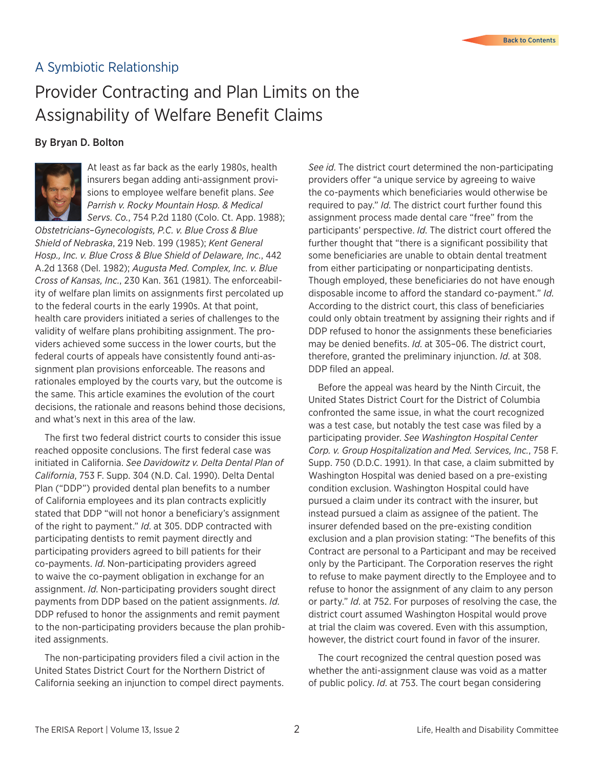### <span id="page-1-0"></span>A Symbiotic Relationship

# Provider Contracting and Plan Limits on the Assignability of Welfare Benefit Claims

#### By Bryan D. Bolton



At least as far back as the early 1980s, health insurers began adding anti-assignment provisions to employee welfare benefit plans. *See Parrish v. Rocky Mountain Hosp. & Medical Servs. Co.*, 754 P.2d 1180 (Colo. Ct. App. 1988);

*Obstetricians–Gynecologists, P.C. v. Blue Cross & Blue Shield of Nebraska*, 219 Neb. 199 (1985); *Kent General Hosp., Inc. v. Blue Cross & Blue Shield of Delaware, Inc.*, 442 A.2d 1368 (Del. 1982); *Augusta Med. Complex, Inc. v. Blue Cross of Kansas, Inc.*, 230 Kan. 361 (1981). The enforceability of welfare plan limits on assignments first percolated up to the federal courts in the early 1990s. At that point, health care providers initiated a series of challenges to the validity of welfare plans prohibiting assignment. The providers achieved some success in the lower courts, but the federal courts of appeals have consistently found anti-assignment plan provisions enforceable. The reasons and rationales employed by the courts vary, but the outcome is the same. This article examines the evolution of the court decisions, the rationale and reasons behind those decisions, and what's next in this area of the law.

The first two federal district courts to consider this issue reached opposite conclusions. The first federal case was initiated in California. *See Davidowitz v. Delta Dental Plan of California*, 753 F. Supp. 304 (N.D. Cal. 1990). Delta Dental Plan ("DDP") provided dental plan benefits to a number of California employees and its plan contracts explicitly stated that DDP "will not honor a beneficiary's assignment of the right to payment." *Id*. at 305. DDP contracted with participating dentists to remit payment directly and participating providers agreed to bill patients for their co-payments. *Id*. Non-participating providers agreed to waive the co-payment obligation in exchange for an assignment. *Id*. Non-participating providers sought direct payments from DDP based on the patient assignments. *Id*. DDP refused to honor the assignments and remit payment to the non-participating providers because the plan prohibited assignments.

The non-participating providers filed a civil action in the United States District Court for the Northern District of California seeking an injunction to compel direct payments.

*See id*. The district court determined the non-participating providers offer "a unique service by agreeing to waive the co-payments which beneficiaries would otherwise be required to pay." *Id*. The district court further found this assignment process made dental care "free" from the participants' perspective. *Id*. The district court offered the further thought that "there is a significant possibility that some beneficiaries are unable to obtain dental treatment from either participating or nonparticipating dentists. Though employed, these beneficiaries do not have enough disposable income to afford the standard co-payment." *Id*. According to the district court, this class of beneficiaries could only obtain treatment by assigning their rights and if DDP refused to honor the assignments these beneficiaries may be denied benefits. *Id*. at 305–06. The district court, therefore, granted the preliminary injunction. *Id*. at 308. DDP filed an appeal.

Before the appeal was heard by the Ninth Circuit, the United States District Court for the District of Columbia confronted the same issue, in what the court recognized was a test case, but notably the test case was filed by a participating provider. *See Washington Hospital Center Corp. v. Group Hospitalization and Med. Services, Inc.*, 758 F. Supp. 750 (D.D.C. 1991). In that case, a claim submitted by Washington Hospital was denied based on a pre-existing condition exclusion. Washington Hospital could have pursued a claim under its contract with the insurer, but instead pursued a claim as assignee of the patient. The insurer defended based on the pre-existing condition exclusion and a plan provision stating: "The benefits of this Contract are personal to a Participant and may be received only by the Participant. The Corporation reserves the right to refuse to make payment directly to the Employee and to refuse to honor the assignment of any claim to any person or party." *Id*. at 752. For purposes of resolving the case, the district court assumed Washington Hospital would prove at trial the claim was covered. Even with this assumption, however, the district court found in favor of the insurer.

The court recognized the central question posed was whether the anti-assignment clause was void as a matter of public policy. *Id*. at 753. The court began considering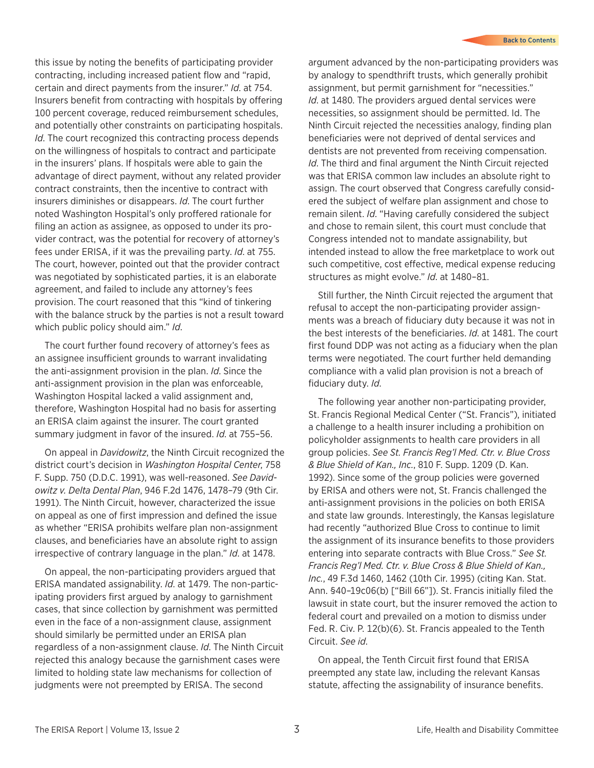this issue by noting the benefits of participating provider contracting, including increased patient flow and "rapid, certain and direct payments from the insurer." *Id*. at 754. Insurers benefit from contracting with hospitals by offering 100 percent coverage, reduced reimbursement schedules, and potentially other constraints on participating hospitals. *Id*. The court recognized this contracting process depends on the willingness of hospitals to contract and participate in the insurers' plans. If hospitals were able to gain the advantage of direct payment, without any related provider contract constraints, then the incentive to contract with insurers diminishes or disappears. *Id*. The court further noted Washington Hospital's only proffered rationale for filing an action as assignee, as opposed to under its provider contract, was the potential for recovery of attorney's fees under ERISA, if it was the prevailing party. *Id*. at 755. The court, however, pointed out that the provider contract was negotiated by sophisticated parties, it is an elaborate agreement, and failed to include any attorney's fees provision. The court reasoned that this "kind of tinkering with the balance struck by the parties is not a result toward which public policy should aim." *Id*.

The court further found recovery of attorney's fees as an assignee insufficient grounds to warrant invalidating the anti-assignment provision in the plan. *Id*. Since the anti-assignment provision in the plan was enforceable, Washington Hospital lacked a valid assignment and, therefore, Washington Hospital had no basis for asserting an ERISA claim against the insurer. The court granted summary judgment in favor of the insured. *Id*. at 755–56.

On appeal in *Davidowitz*, the Ninth Circuit recognized the district court's decision in *Washington Hospital Center*, 758 F. Supp. 750 (D.D.C. 1991), was well-reasoned. *See Davidowitz v. Delta Dental Plan*, 946 F.2d 1476, 1478–79 (9th Cir. 1991). The Ninth Circuit, however, characterized the issue on appeal as one of first impression and defined the issue as whether "ERISA prohibits welfare plan non-assignment clauses, and beneficiaries have an absolute right to assign irrespective of contrary language in the plan." *Id*. at 1478.

On appeal, the non-participating providers argued that ERISA mandated assignability. *Id*. at 1479. The non-participating providers first argued by analogy to garnishment cases, that since collection by garnishment was permitted even in the face of a non-assignment clause, assignment should similarly be permitted under an ERISA plan regardless of a non-assignment clause. *Id*. The Ninth Circuit rejected this analogy because the garnishment cases were limited to holding state law mechanisms for collection of judgments were not preempted by ERISA. The second

argument advanced by the non-participating providers was by analogy to spendthrift trusts, which generally prohibit assignment, but permit garnishment for "necessities." *Id*. at 1480. The providers argued dental services were necessities, so assignment should be permitted. Id. The Ninth Circuit rejected the necessities analogy, finding plan beneficiaries were not deprived of dental services and dentists are not prevented from receiving compensation. *Id*. The third and final argument the Ninth Circuit rejected was that ERISA common law includes an absolute right to assign. The court observed that Congress carefully considered the subject of welfare plan assignment and chose to remain silent. *Id*. "Having carefully considered the subject and chose to remain silent, this court must conclude that Congress intended not to mandate assignability, but intended instead to allow the free marketplace to work out such competitive, cost effective, medical expense reducing structures as might evolve." *Id*. at 1480–81.

Still further, the Ninth Circuit rejected the argument that refusal to accept the non-participating provider assignments was a breach of fiduciary duty because it was not in the best interests of the beneficiaries. *Id*. at 1481. The court first found DDP was not acting as a fiduciary when the plan terms were negotiated. The court further held demanding compliance with a valid plan provision is not a breach of fiduciary duty. *Id*.

The following year another non-participating provider, St. Francis Regional Medical Center ("St. Francis"), initiated a challenge to a health insurer including a prohibition on policyholder assignments to health care providers in all group policies. *See St. Francis Reg'l Med. Ctr. v. Blue Cross & Blue Shield of Kan., Inc.*, 810 F. Supp. 1209 (D. Kan. 1992). Since some of the group policies were governed by ERISA and others were not, St. Francis challenged the anti-assignment provisions in the policies on both ERISA and state law grounds. Interestingly, the Kansas legislature had recently "authorized Blue Cross to continue to limit the assignment of its insurance benefits to those providers entering into separate contracts with Blue Cross." *See St. Francis Reg'l Med. Ctr. v. Blue Cross & Blue Shield of Kan., Inc.*, 49 F.3d 1460, 1462 (10th Cir. 1995) (citing Kan. Stat. Ann. §40–19c06(b) ["Bill 66"]). St. Francis initially filed the lawsuit in state court, but the insurer removed the action to federal court and prevailed on a motion to dismiss under Fed. R. Civ. P. 12(b)(6). St. Francis appealed to the Tenth Circuit. *See id*.

On appeal, the Tenth Circuit first found that ERISA preempted any state law, including the relevant Kansas statute, affecting the assignability of insurance benefits.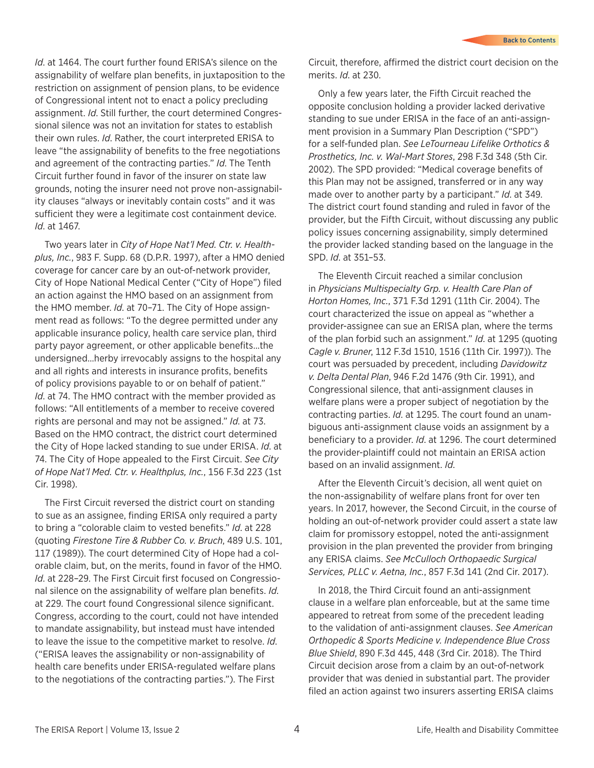*Id*. at 1464. The court further found ERISA's silence on the assignability of welfare plan benefits, in juxtaposition to the restriction on assignment of pension plans, to be evidence of Congressional intent not to enact a policy precluding assignment. *Id*. Still further, the court determined Congressional silence was not an invitation for states to establish their own rules. *Id*. Rather, the court interpreted ERISA to leave "the assignability of benefits to the free negotiations and agreement of the contracting parties." *Id*. The Tenth Circuit further found in favor of the insurer on state law grounds, noting the insurer need not prove non-assignability clauses "always or inevitably contain costs" and it was sufficient they were a legitimate cost containment device. *Id*. at 1467.

Two years later in *City of Hope Nat'l Med. Ctr. v. Healthplus, Inc.*, 983 F. Supp. 68 (D.P.R. 1997), after a HMO denied coverage for cancer care by an out-of-network provider, City of Hope National Medical Center ("City of Hope") filed an action against the HMO based on an assignment from the HMO member. *Id*. at 70–71. The City of Hope assignment read as follows: "To the degree permitted under any applicable insurance policy, health care service plan, third party payor agreement, or other applicable benefits…the undersigned…herby irrevocably assigns to the hospital any and all rights and interests in insurance profits, benefits of policy provisions payable to or on behalf of patient." *Id.* at 74. The HMO contract with the member provided as follows: "All entitlements of a member to receive covered rights are personal and may not be assigned." *Id*. at 73. Based on the HMO contract, the district court determined the City of Hope lacked standing to sue under ERISA. *Id*. at 74. The City of Hope appealed to the First Circuit. *See City of Hope Nat'l Med. Ctr. v. Healthplus, Inc.*, 156 F.3d 223 (1st Cir. 1998).

The First Circuit reversed the district court on standing to sue as an assignee, finding ERISA only required a party to bring a "colorable claim to vested benefits." *Id*. at 228 (quoting *Firestone Tire & Rubber Co. v. Bruch*, 489 U.S. 101, 117 (1989)). The court determined City of Hope had a colorable claim, but, on the merits, found in favor of the HMO. *Id*. at 228–29. The First Circuit first focused on Congressional silence on the assignability of welfare plan benefits. *Id*. at 229. The court found Congressional silence significant. Congress, according to the court, could not have intended to mandate assignability, but instead must have intended to leave the issue to the competitive market to resolve. *Id*. ("ERISA leaves the assignability or non-assignability of health care benefits under ERISA-regulated welfare plans to the negotiations of the contracting parties."). The First

Circuit, therefore, affirmed the district court decision on the merits. *Id*. at 230.

Only a few years later, the Fifth Circuit reached the opposite conclusion holding a provider lacked derivative standing to sue under ERISA in the face of an anti-assignment provision in a Summary Plan Description ("SPD") for a self-funded plan. *See LeTourneau Lifelike Orthotics & Prosthetics, Inc. v. Wal-Mart Stores*, 298 F.3d 348 (5th Cir. 2002). The SPD provided: "Medical coverage benefits of this Plan may not be assigned, transferred or in any way made over to another party by a participant." *Id*. at 349. The district court found standing and ruled in favor of the provider, but the Fifth Circuit, without discussing any public policy issues concerning assignability, simply determined the provider lacked standing based on the language in the SPD. *Id*. at 351–53.

The Eleventh Circuit reached a similar conclusion in *Physicians Multispecialty Grp. v. Health Care Plan of Horton Homes, Inc.*, 371 F.3d 1291 (11th Cir. 2004). The court characterized the issue on appeal as "whether a provider-assignee can sue an ERISA plan, where the terms of the plan forbid such an assignment." *Id*. at 1295 (quoting *Cagle v. Bruner*, 112 F.3d 1510, 1516 (11th Cir. 1997)). The court was persuaded by precedent, including *Davidowitz v. Delta Dental Plan*, 946 F.2d 1476 (9th Cir. 1991), and Congressional silence, that anti-assignment clauses in welfare plans were a proper subject of negotiation by the contracting parties. *Id*. at 1295. The court found an unambiguous anti-assignment clause voids an assignment by a beneficiary to a provider. *Id*. at 1296. The court determined the provider-plaintiff could not maintain an ERISA action based on an invalid assignment. *Id*.

After the Eleventh Circuit's decision, all went quiet on the non-assignability of welfare plans front for over ten years. In 2017, however, the Second Circuit, in the course of holding an out-of-network provider could assert a state law claim for promissory estoppel, noted the anti-assignment provision in the plan prevented the provider from bringing any ERISA claims. *See McCulloch Orthopaedic Surgical Services, PLLC v. Aetna, Inc.*, 857 F.3d 141 (2nd Cir. 2017).

In 2018, the Third Circuit found an anti-assignment clause in a welfare plan enforceable, but at the same time appeared to retreat from some of the precedent leading to the validation of anti-assignment clauses. *See American Orthopedic & Sports Medicine v. Independence Blue Cross Blue Shield*, 890 F.3d 445, 448 (3rd Cir. 2018). The Third Circuit decision arose from a claim by an out-of-network provider that was denied in substantial part. The provider filed an action against two insurers asserting ERISA claims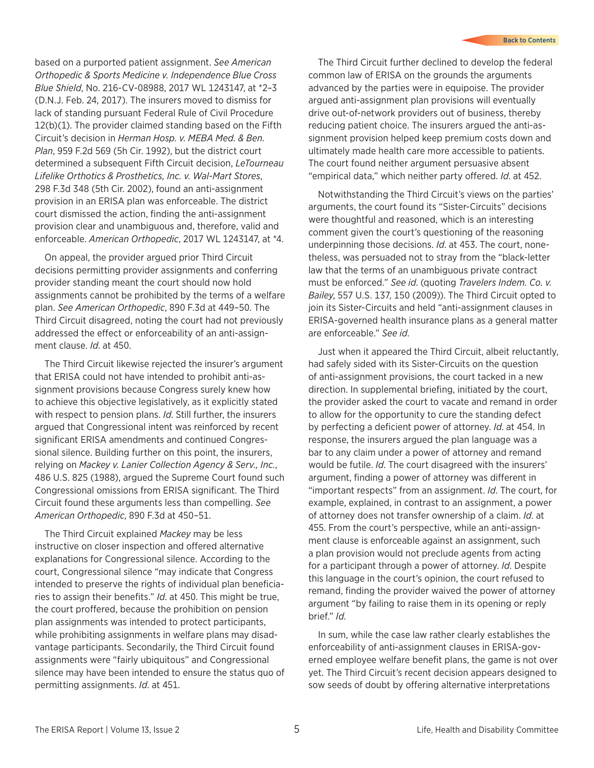based on a purported patient assignment. *See American Orthopedic & Sports Medicine v. Independence Blue Cross Blue Shield*, No. 216-CV-08988, 2017 WL 1243147, at \*2–3 (D.N.J. Feb. 24, 2017). The insurers moved to dismiss for lack of standing pursuant Federal Rule of Civil Procedure 12(b)(1). The provider claimed standing based on the Fifth Circuit's decision in *Herman Hosp. v. MEBA Med. & Ben. Plan*, 959 F.2d 569 (5h Cir. 1992), but the district court determined a subsequent Fifth Circuit decision, *LeTourneau Lifelike Orthotics & Prosthetics, Inc. v. Wal-Mart Stores*, 298 F.3d 348 (5th Cir. 2002), found an anti-assignment provision in an ERISA plan was enforceable. The district court dismissed the action, finding the anti-assignment provision clear and unambiguous and, therefore, valid and enforceable. *American Orthopedic*, 2017 WL 1243147, at \*4.

On appeal, the provider argued prior Third Circuit decisions permitting provider assignments and conferring provider standing meant the court should now hold assignments cannot be prohibited by the terms of a welfare plan. *See American Orthopedic*, 890 F.3d at 449–50. The Third Circuit disagreed, noting the court had not previously addressed the effect or enforceability of an anti-assignment clause. *Id*. at 450.

The Third Circuit likewise rejected the insurer's argument that ERISA could not have intended to prohibit anti-assignment provisions because Congress surely knew how to achieve this objective legislatively, as it explicitly stated with respect to pension plans. *Id*. Still further, the insurers argued that Congressional intent was reinforced by recent significant ERISA amendments and continued Congressional silence. Building further on this point, the insurers, relying on *Mackey v. Lanier Collection Agency & Serv., Inc.*, 486 U.S. 825 (1988), argued the Supreme Court found such Congressional omissions from ERISA significant. The Third Circuit found these arguments less than compelling. *See American Orthopedic*, 890 F.3d at 450–51.

The Third Circuit explained *Mackey* may be less instructive on closer inspection and offered alternative explanations for Congressional silence. According to the court, Congressional silence "may indicate that Congress intended to preserve the rights of individual plan beneficiaries to assign their benefits." *Id*. at 450. This might be true, the court proffered, because the prohibition on pension plan assignments was intended to protect participants, while prohibiting assignments in welfare plans may disadvantage participants. Secondarily, the Third Circuit found assignments were "fairly ubiquitous" and Congressional silence may have been intended to ensure the status quo of permitting assignments. *Id*. at 451.

The Third Circuit further declined to develop the federal common law of ERISA on the grounds the arguments advanced by the parties were in equipoise. The provider argued anti-assignment plan provisions will eventually drive out-of-network providers out of business, thereby reducing patient choice. The insurers argued the anti-assignment provision helped keep premium costs down and ultimately made health care more accessible to patients. The court found neither argument persuasive absent "empirical data," which neither party offered. *Id*. at 452.

Notwithstanding the Third Circuit's views on the parties' arguments, the court found its "Sister-Circuits" decisions were thoughtful and reasoned, which is an interesting comment given the court's questioning of the reasoning underpinning those decisions. *Id*. at 453. The court, nonetheless, was persuaded not to stray from the "black-letter law that the terms of an unambiguous private contract must be enforced." *See id*. (quoting *Travelers Indem. Co. v. Bailey*, 557 U.S. 137, 150 (2009)). The Third Circuit opted to join its Sister-Circuits and held "anti-assignment clauses in ERISA-governed health insurance plans as a general matter are enforceable." *See id*.

Just when it appeared the Third Circuit, albeit reluctantly, had safely sided with its Sister-Circuits on the question of anti-assignment provisions, the court tacked in a new direction. In supplemental briefing, initiated by the court, the provider asked the court to vacate and remand in order to allow for the opportunity to cure the standing defect by perfecting a deficient power of attorney. *Id*. at 454. In response, the insurers argued the plan language was a bar to any claim under a power of attorney and remand would be futile. *Id*. The court disagreed with the insurers' argument, finding a power of attorney was different in "important respects" from an assignment. *Id*. The court, for example, explained, in contrast to an assignment, a power of attorney does not transfer ownership of a claim. *Id*. at 455. From the court's perspective, while an anti-assignment clause is enforceable against an assignment, such a plan provision would not preclude agents from acting for a participant through a power of attorney. *Id*. Despite this language in the court's opinion, the court refused to remand, finding the provider waived the power of attorney argument "by failing to raise them in its opening or reply brief." *Id*.

In sum, while the case law rather clearly establishes the enforceability of anti-assignment clauses in ERISA-governed employee welfare benefit plans, the game is not over yet. The Third Circuit's recent decision appears designed to sow seeds of doubt by offering alternative interpretations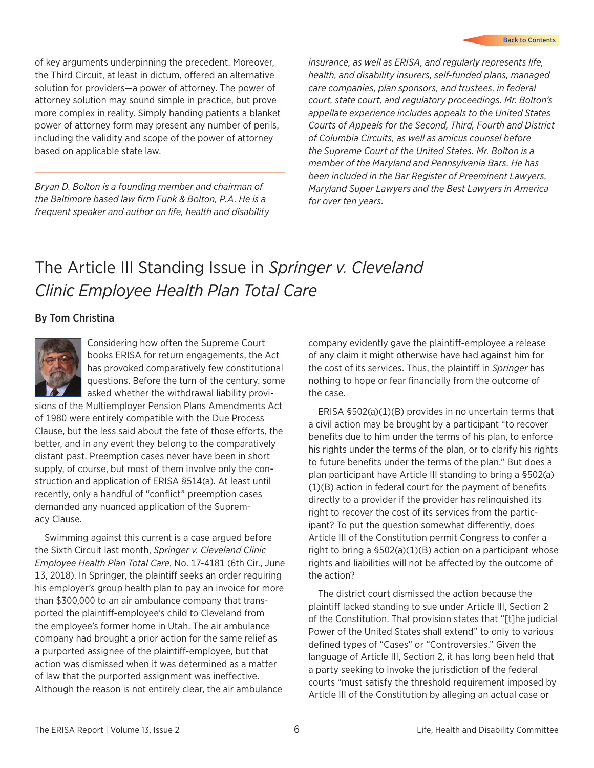<span id="page-5-0"></span>of key arguments underpinning the precedent. Moreover, the Third Circuit, at least in dictum, offered an alternative solution for providers—a power of attorney. The power of attorney solution may sound simple in practice, but prove more complex in reality. Simply handing patients a blanket power of attorney form may present any number of perils, including the validity and scope of the power of attorney based on applicable state law.

*Bryan D. Bolton is a founding member and chairman of the Baltimore based law firm Funk & Bolton, P.A. He is a frequent speaker and author on life, health and disability* 

*insurance, as well as ERISA, and regularly represents life, health, and disability insurers, self-funded plans, managed care companies, plan sponsors, and trustees, in federal court, state court, and regulatory proceedings. Mr. Bolton's appellate experience includes appeals to the United States Courts of Appeals for the Second, Third, Fourth and District of Columbia Circuits, as well as amicus counsel before the Supreme Court of the United States. Mr. Bolton is a member of the Maryland and Pennsylvania Bars. He has been included in the Bar Register of Preeminent Lawyers, Maryland Super Lawyers and the Best Lawyers in America for over ten years.*

### The Article III Standing Issue in *Springer v. Cleveland Clinic Employee Health Plan Total Care*

#### By Tom Christina



Considering how often the Supreme Court books ERISA for return engagements, the Act has provoked comparatively few constitutional questions. Before the turn of the century, some asked whether the withdrawal liability provi-

sions of the Multiemployer Pension Plans Amendments Act of 1980 were entirely compatible with the Due Process Clause, but the less said about the fate of those efforts, the better, and in any event they belong to the comparatively distant past. Preemption cases never have been in short supply, of course, but most of them involve only the construction and application of ERISA §514(a). At least until recently, only a handful of "conflict" preemption cases demanded any nuanced application of the Supremacy Clause.

Swimming against this current is a case argued before the Sixth Circuit last month, *Springer v. Cleveland Clinic Employee Health Plan Total Care*, No. 17-4181 (6th Cir., June 13, 2018). In Springer, the plaintiff seeks an order requiring his employer's group health plan to pay an invoice for more than \$300,000 to an air ambulance company that transported the plaintiff-employee's child to Cleveland from the employee's former home in Utah. The air ambulance company had brought a prior action for the same relief as a purported assignee of the plaintiff-employee, but that action was dismissed when it was determined as a matter of law that the purported assignment was ineffective. Although the reason is not entirely clear, the air ambulance

company evidently gave the plaintiff-employee a release of any claim it might otherwise have had against him for the cost of its services. Thus, the plaintiff in *Springer* has nothing to hope or fear financially from the outcome of the case.

ERISA §502(a)(1)(B) provides in no uncertain terms that a civil action may be brought by a participant "to recover benefits due to him under the terms of his plan, to enforce his rights under the terms of the plan, or to clarify his rights to future benefits under the terms of the plan." But does a plan participant have Article III standing to bring a §502(a) (1)(B) action in federal court for the payment of benefits directly to a provider if the provider has relinquished its right to recover the cost of its services from the participant? To put the question somewhat differently, does Article III of the Constitution permit Congress to confer a right to bring a §502(a)(1)(B) action on a participant whose rights and liabilities will not be affected by the outcome of the action?

The district court dismissed the action because the plaintiff lacked standing to sue under Article III, Section 2 of the Constitution. That provision states that "[t]he judicial Power of the United States shall extend" to only to various defined types of "Cases" or "Controversies." Given the language of Article III, Section 2, it has long been held that a party seeking to invoke the jurisdiction of the federal courts "must satisfy the threshold requirement imposed by Article III of the Constitution by alleging an actual case or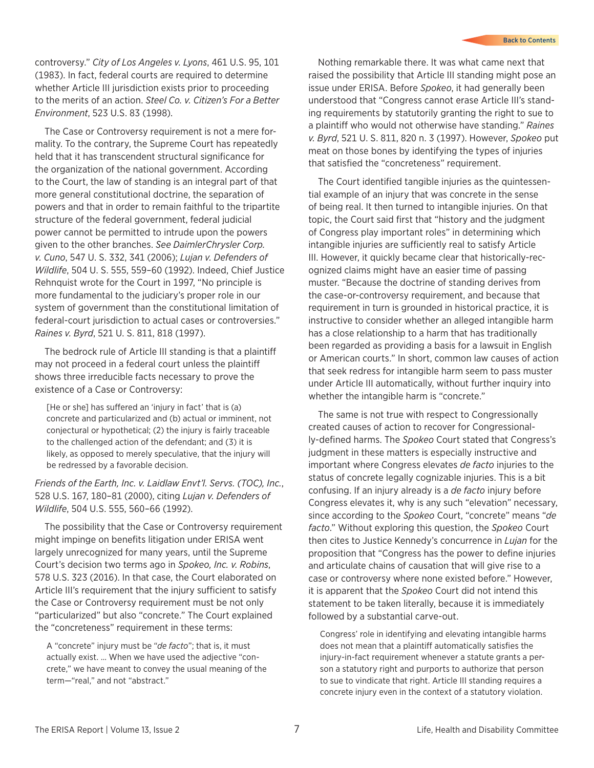controversy." *City of Los Angeles v. Lyons*, 461 U.S. 95, 101 (1983). In fact, federal courts are required to determine whether Article III jurisdiction exists prior to proceeding to the merits of an action. *Steel Co. v. Citizen's For a Better Environment*, 523 U.S. 83 (1998).

The Case or Controversy requirement is not a mere formality. To the contrary, the Supreme Court has repeatedly held that it has transcendent structural significance for the organization of the national government. According to the Court, the law of standing is an integral part of that more general constitutional doctrine, the separation of powers and that in order to remain faithful to the tripartite structure of the federal government, federal judicial power cannot be permitted to intrude upon the powers given to the other branches. *See DaimlerChrysler Corp. v. Cuno*, 547 U. S. 332, 341 (2006); *Lujan v. Defenders of Wildlife*, 504 U. S. 555, 559–60 (1992). Indeed, Chief Justice Rehnquist wrote for the Court in 1997, "No principle is more fundamental to the judiciary's proper role in our system of government than the constitutional limitation of federal-court jurisdiction to actual cases or controversies." *Raines v. Byrd*, 521 U. S. 811, 818 (1997).

The bedrock rule of Article III standing is that a plaintiff may not proceed in a federal court unless the plaintiff shows three irreducible facts necessary to prove the existence of a Case or Controversy:

[He or she] has suffered an 'injury in fact' that is (a) concrete and particularized and (b) actual or imminent, not conjectural or hypothetical; (2) the injury is fairly traceable to the challenged action of the defendant; and (3) it is likely, as opposed to merely speculative, that the injury will be redressed by a favorable decision.

*Friends of the Earth, Inc. v. Laidlaw Envt'l. Servs. (TOC), Inc.*, 528 U.S. 167, 180–81 (2000), citing *Lujan v. Defenders of Wildlife*, 504 U.S. 555, 560–66 (1992).

The possibility that the Case or Controversy requirement might impinge on benefits litigation under ERISA went largely unrecognized for many years, until the Supreme Court's decision two terms ago in *Spokeo, Inc. v. Robins*, 578 U.S. 323 (2016). In that case, the Court elaborated on Article III's requirement that the injury sufficient to satisfy the Case or Controversy requirement must be not only "particularized" but also "concrete." The Court explained the "concreteness" requirement in these terms:

A "concrete" injury must be "*de facto*"; that is, it must actually exist. … When we have used the adjective "concrete," we have meant to convey the usual meaning of the term—"real," and not "abstract."

Nothing remarkable there. It was what came next that raised the possibility that Article III standing might pose an issue under ERISA. Before *Spokeo*, it had generally been understood that "Congress cannot erase Article III's standing requirements by statutorily granting the right to sue to a plaintiff who would not otherwise have standing." *Raines v. Byrd*, 521 U. S. 811, 820 n. 3 (1997). However, *Spokeo* put meat on those bones by identifying the types of injuries that satisfied the "concreteness" requirement.

The Court identified tangible injuries as the quintessential example of an injury that was concrete in the sense of being real. It then turned to intangible injuries. On that topic, the Court said first that "history and the judgment of Congress play important roles" in determining which intangible injuries are sufficiently real to satisfy Article III. However, it quickly became clear that historically-recognized claims might have an easier time of passing muster. "Because the doctrine of standing derives from the case-or-controversy requirement, and because that requirement in turn is grounded in historical practice, it is instructive to consider whether an alleged intangible harm has a close relationship to a harm that has traditionally been regarded as providing a basis for a lawsuit in English or American courts." In short, common law causes of action that seek redress for intangible harm seem to pass muster under Article III automatically, without further inquiry into whether the intangible harm is "concrete."

The same is not true with respect to Congressionally created causes of action to recover for Congressionally-defined harms. The *Spokeo* Court stated that Congress's judgment in these matters is especially instructive and important where Congress elevates *de facto* injuries to the status of concrete legally cognizable injuries. This is a bit confusing. If an injury already is a *de facto* injury before Congress elevates it, why is any such "elevation" necessary, since according to the *Spokeo* Court, "concrete" means "*de facto*." Without exploring this question, the *Spokeo* Court then cites to Justice Kennedy's concurrence in *Lujan* for the proposition that "Congress has the power to define injuries and articulate chains of causation that will give rise to a case or controversy where none existed before." However, it is apparent that the *Spokeo* Court did not intend this statement to be taken literally, because it is immediately followed by a substantial carve-out.

Congress' role in identifying and elevating intangible harms does not mean that a plaintiff automatically satisfies the injury-in-fact requirement whenever a statute grants a person a statutory right and purports to authorize that person to sue to vindicate that right. Article III standing requires a concrete injury even in the context of a statutory violation.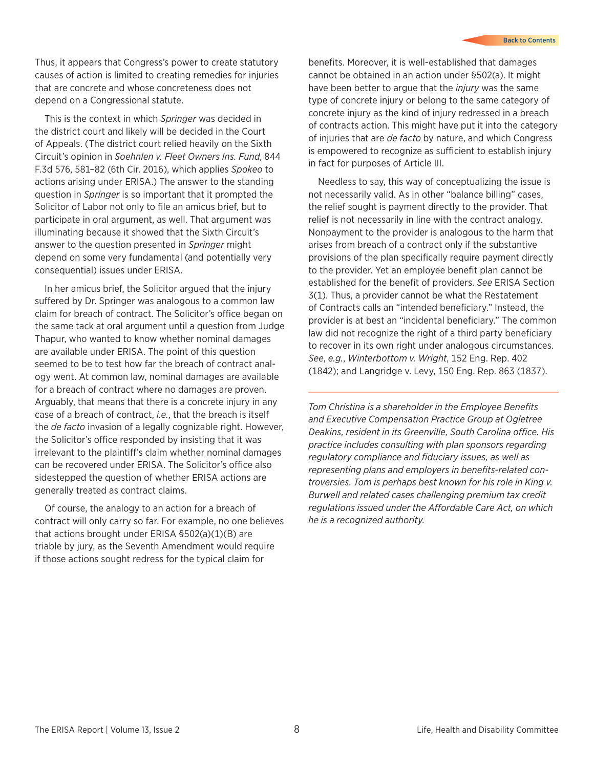Thus, it appears that Congress's power to create statutory causes of action is limited to creating remedies for injuries that are concrete and whose concreteness does not depend on a Congressional statute.

This is the context in which *Springer* was decided in the district court and likely will be decided in the Court of Appeals. (The district court relied heavily on the Sixth Circuit's opinion in *Soehnlen v. Fleet Owners Ins. Fund*, 844 F.3d 576, 581–82 (6th Cir. 2016), which applies *Spokeo* to actions arising under ERISA.) The answer to the standing question in *Springer* is so important that it prompted the Solicitor of Labor not only to file an amicus brief, but to participate in oral argument, as well. That argument was illuminating because it showed that the Sixth Circuit's answer to the question presented in *Springer* might depend on some very fundamental (and potentially very consequential) issues under ERISA.

In her amicus brief, the Solicitor argued that the injury suffered by Dr. Springer was analogous to a common law claim for breach of contract. The Solicitor's office began on the same tack at oral argument until a question from Judge Thapur, who wanted to know whether nominal damages are available under ERISA. The point of this question seemed to be to test how far the breach of contract analogy went. At common law, nominal damages are available for a breach of contract where no damages are proven. Arguably, that means that there is a concrete injury in any case of a breach of contract, *i.e.*, that the breach is itself the *de facto* invasion of a legally cognizable right. However, the Solicitor's office responded by insisting that it was irrelevant to the plaintiff's claim whether nominal damages can be recovered under ERISA. The Solicitor's office also sidestepped the question of whether ERISA actions are generally treated as contract claims.

Of course, the analogy to an action for a breach of contract will only carry so far. For example, no one believes that actions brought under ERISA §502(a)(1)(B) are triable by jury, as the Seventh Amendment would require if those actions sought redress for the typical claim for

benefits. Moreover, it is well-established that damages cannot be obtained in an action under §502(a). It might have been better to argue that the *injury* was the same type of concrete injury or belong to the same category of concrete injury as the kind of injury redressed in a breach of contracts action. This might have put it into the category of injuries that are *de facto* by nature, and which Congress is empowered to recognize as sufficient to establish injury in fact for purposes of Article III.

Needless to say, this way of conceptualizing the issue is not necessarily valid. As in other "balance billing" cases, the relief sought is payment directly to the provider. That relief is not necessarily in line with the contract analogy. Nonpayment to the provider is analogous to the harm that arises from breach of a contract only if the substantive provisions of the plan specifically require payment directly to the provider. Yet an employee benefit plan cannot be established for the benefit of providers. *See* ERISA Section 3(1). Thus, a provider cannot be what the Restatement of Contracts calls an "intended beneficiary." Instead, the provider is at best an "incidental beneficiary." The common law did not recognize the right of a third party beneficiary to recover in its own right under analogous circumstances. *See*, *e.g.*, *Winterbottom v. Wright*, 152 Eng. Rep. 402 (1842); and Langridge v. Levy, 150 Eng. Rep. 863 (1837).

*Tom Christina is a shareholder in the Employee Benefits and Executive Compensation Practice Group at Ogletree Deakins, resident in its Greenville, South Carolina office. His practice includes consulting with plan sponsors regarding regulatory compliance and fiduciary issues, as well as representing plans and employers in benefits-related controversies. Tom is perhaps best known for his role in King v. Burwell and related cases challenging premium tax credit regulations issued under the Affordable Care Act, on which he is a recognized authority.*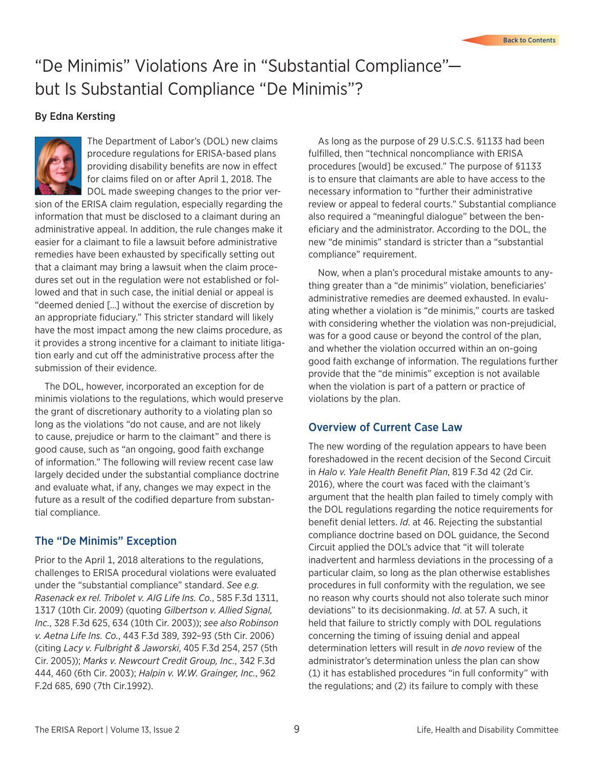## <span id="page-8-0"></span>"De Minimis" Violations Are in "Substantial Compliance" but Is Substantial Compliance "De Minimis"?

#### By Edna Kersting



The Department of Labor's (DOL) new claims procedure regulations for ERISA-based plans providing disability benefits are now in effect for claims filed on or after April 1, 2018. The DOL made sweeping changes to the prior ver-

sion of the ERISA claim regulation, especially regarding the information that must be disclosed to a claimant during an administrative appeal. In addition, the rule changes make it easier for a claimant to file a lawsuit before administrative remedies have been exhausted by specifically setting out that a claimant may bring a lawsuit when the claim procedures set out in the regulation were not established or followed and that in such case, the initial denial or appeal is "deemed denied […] without the exercise of discretion by an appropriate fiduciary." This stricter standard will likely have the most impact among the new claims procedure, as it provides a strong incentive for a claimant to initiate litigation early and cut off the administrative process after the submission of their evidence.

The DOL, however, incorporated an exception for de minimis violations to the regulations, which would preserve the grant of discretionary authority to a violating plan so long as the violations "do not cause, and are not likely to cause, prejudice or harm to the claimant" and there is good cause, such as "an ongoing, good faith exchange of information." The following will review recent case law largely decided under the substantial compliance doctrine and evaluate what, if any, changes we may expect in the future as a result of the codified departure from substantial compliance.

#### The "De Minimis" Exception

Prior to the April 1, 2018 alterations to the regulations, challenges to ERISA procedural violations were evaluated under the "substantial compliance" standard. *See e.g. Rasenack ex rel. Tribolet v. AIG Life Ins. Co.*, 585 F.3d 1311, 1317 (10th Cir. 2009) (quoting *Gilbertson v. Allied Signal, Inc.*, 328 F.3d 625, 634 (10th Cir. 2003)); *see also Robinson v. Aetna Life Ins. Co.*, 443 F.3d 389, 392–93 (5th Cir. 2006) (citing *Lacy v. Fulbright & Jaworski*, 405 F.3d 254, 257 (5th Cir. 2005)); *Marks v. Newcourt Credit Group, Inc.*, 342 F.3d 444, 460 (6th Cir. 2003); *Halpin v. W.W. Grainger, Inc.*, 962 F.2d 685, 690 (7th Cir.1992).

As long as the purpose of 29 U.S.C.S. §1133 had been fulfilled, then "technical noncompliance with ERISA procedures [would] be excused." The purpose of §1133 is to ensure that claimants are able to have access to the necessary information to "further their administrative review or appeal to federal courts." Substantial compliance also required a "meaningful dialogue" between the beneficiary and the administrator. According to the DOL, the new "de minimis" standard is stricter than a "substantial compliance" requirement.

Now, when a plan's procedural mistake amounts to anything greater than a "de minimis" violation, beneficiaries' administrative remedies are deemed exhausted. In evaluating whether a violation is "de minimis," courts are tasked with considering whether the violation was non-prejudicial, was for a good cause or beyond the control of the plan, and whether the violation occurred within an on-going good faith exchange of information. The regulations further provide that the "de minimis" exception is not available when the violation is part of a pattern or practice of violations by the plan.

#### Overview of Current Case Law

The new wording of the regulation appears to have been foreshadowed in the recent decision of the Second Circuit in *Halo v. Yale Health Benefit Plan*, 819 F.3d 42 (2d Cir. 2016), where the court was faced with the claimant's argument that the health plan failed to timely comply with the DOL regulations regarding the notice requirements for benefit denial letters. *Id*. at 46. Rejecting the substantial compliance doctrine based on DOL guidance, the Second Circuit applied the DOL's advice that "it will tolerate inadvertent and harmless deviations in the processing of a particular claim, so long as the plan otherwise establishes procedures in full conformity with the regulation, we see no reason why courts should not also tolerate such minor deviations" to its decisionmaking. *Id*. at 57. A such, it held that failure to strictly comply with DOL regulations concerning the timing of issuing denial and appeal determination letters will result in *de novo* review of the administrator's determination unless the plan can show (1) it has established procedures "in full conformity" with the regulations; and (2) its failure to comply with these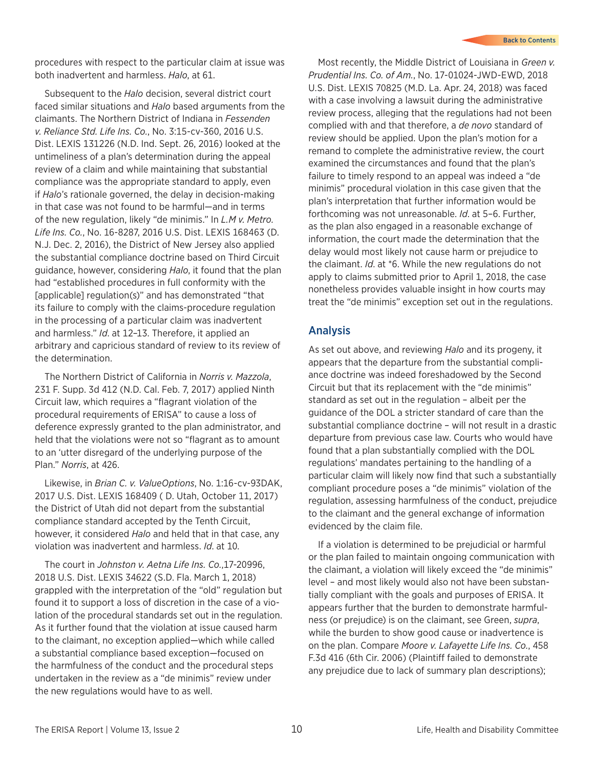procedures with respect to the particular claim at issue was both inadvertent and harmless. *Halo*, at 61.

Subsequent to the *Halo* decision, several district court faced similar situations and *Halo* based arguments from the claimants. The Northern District of Indiana in *Fessenden v. Reliance Std. Life Ins. Co.*, No. 3:15-cv-360, 2016 U.S. Dist. LEXIS 131226 (N.D. Ind. Sept. 26, 2016) looked at the untimeliness of a plan's determination during the appeal review of a claim and while maintaining that substantial compliance was the appropriate standard to apply, even if *Halo*'s rationale governed, the delay in decision-making in that case was not found to be harmful—and in terms of the new regulation, likely "de minimis." In *L.M v. Metro. Life Ins. Co.*, No. 16-8287, 2016 U.S. Dist. LEXIS 168463 (D. N.J. Dec. 2, 2016), the District of New Jersey also applied the substantial compliance doctrine based on Third Circuit guidance, however, considering *Halo*, it found that the plan had "established procedures in full conformity with the [applicable] regulation(s)" and has demonstrated "that its failure to comply with the claims-procedure regulation in the processing of a particular claim was inadvertent and harmless." *Id*. at 12–13. Therefore, it applied an arbitrary and capricious standard of review to its review of the determination.

The Northern District of California in *Norris v. Mazzola*, 231 F. Supp. 3d 412 (N.D. Cal. Feb. 7, 2017) applied Ninth Circuit law, which requires a "flagrant violation of the procedural requirements of ERISA" to cause a loss of deference expressly granted to the plan administrator, and held that the violations were not so "flagrant as to amount to an 'utter disregard of the underlying purpose of the Plan." *Norris*, at 426.

Likewise, in *Brian C. v. ValueOptions*, No. 1:16-cv-93DAK, 2017 U.S. Dist. LEXIS 168409 ( D. Utah, October 11, 2017) the District of Utah did not depart from the substantial compliance standard accepted by the Tenth Circuit, however, it considered *Halo* and held that in that case, any violation was inadvertent and harmless. *Id*. at 10.

The court in *Johnston v. Aetna Life Ins. Co.*,17-20996, 2018 U.S. Dist. LEXIS 34622 (S.D. Fla. March 1, 2018) grappled with the interpretation of the "old" regulation but found it to support a loss of discretion in the case of a violation of the procedural standards set out in the regulation. As it further found that the violation at issue caused harm to the claimant, no exception applied—which while called a substantial compliance based exception—focused on the harmfulness of the conduct and the procedural steps undertaken in the review as a "de minimis" review under the new regulations would have to as well.

Most recently, the Middle District of Louisiana in *Green v. Prudential Ins. Co. of Am.*, No. 17-01024-JWD-EWD, 2018 U.S. Dist. LEXIS 70825 (M.D. La. Apr. 24, 2018) was faced with a case involving a lawsuit during the administrative review process, alleging that the regulations had not been complied with and that therefore, a *de novo* standard of review should be applied. Upon the plan's motion for a remand to complete the administrative review, the court examined the circumstances and found that the plan's failure to timely respond to an appeal was indeed a "de minimis" procedural violation in this case given that the plan's interpretation that further information would be forthcoming was not unreasonable. *Id*. at 5–6. Further, as the plan also engaged in a reasonable exchange of information, the court made the determination that the delay would most likely not cause harm or prejudice to the claimant. *Id*. at \*6. While the new regulations do not apply to claims submitted prior to April 1, 2018, the case nonetheless provides valuable insight in how courts may treat the "de minimis" exception set out in the regulations.

#### Analysis

As set out above, and reviewing *Halo* and its progeny, it appears that the departure from the substantial compliance doctrine was indeed foreshadowed by the Second Circuit but that its replacement with the "de minimis" standard as set out in the regulation – albeit per the guidance of the DOL a stricter standard of care than the substantial compliance doctrine – will not result in a drastic departure from previous case law. Courts who would have found that a plan substantially complied with the DOL regulations' mandates pertaining to the handling of a particular claim will likely now find that such a substantially compliant procedure poses a "de minimis" violation of the regulation, assessing harmfulness of the conduct, prejudice to the claimant and the general exchange of information evidenced by the claim file.

If a violation is determined to be prejudicial or harmful or the plan failed to maintain ongoing communication with the claimant, a violation will likely exceed the "de minimis" level – and most likely would also not have been substantially compliant with the goals and purposes of ERISA. It appears further that the burden to demonstrate harmfulness (or prejudice) is on the claimant, see Green, *supra*, while the burden to show good cause or inadvertence is on the plan. Compare *Moore v. Lafayette Life Ins. Co.*, 458 F.3d 416 (6th Cir. 2006) (Plaintiff failed to demonstrate any prejudice due to lack of summary plan descriptions);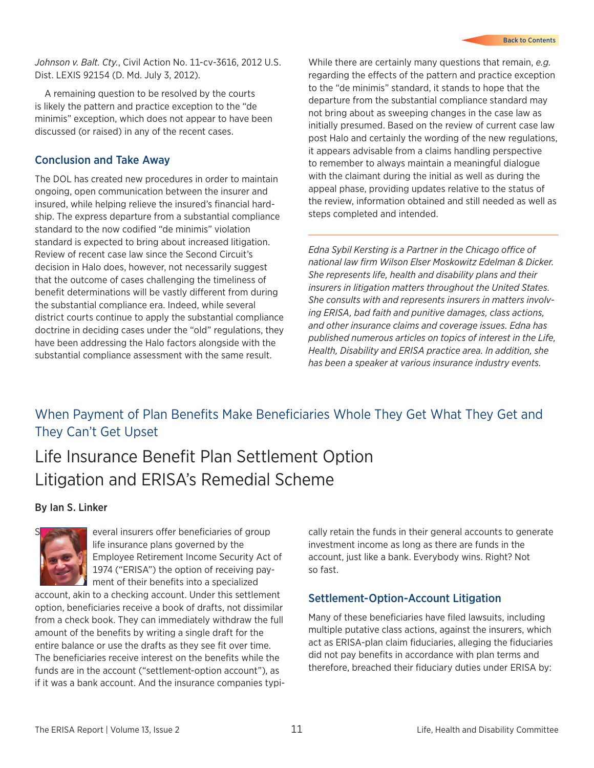<span id="page-10-0"></span>*Johnson v. Balt. Cty.*, Civil Action No. 11-cv-3616, 2012 U.S. Dist. LEXIS 92154 (D. Md. July 3, 2012).

A remaining question to be resolved by the courts is likely the pattern and practice exception to the "de minimis" exception, which does not appear to have been discussed (or raised) in any of the recent cases.

#### Conclusion and Take Away

The DOL has created new procedures in order to maintain ongoing, open communication between the insurer and insured, while helping relieve the insured's financial hardship. The express departure from a substantial compliance standard to the now codified "de minimis" violation standard is expected to bring about increased litigation. Review of recent case law since the Second Circuit's decision in Halo does, however, not necessarily suggest that the outcome of cases challenging the timeliness of benefit determinations will be vastly different from during the substantial compliance era. Indeed, while several district courts continue to apply the substantial compliance doctrine in deciding cases under the "old" regulations, they have been addressing the Halo factors alongside with the substantial compliance assessment with the same result.

While there are certainly many questions that remain, *e.g.* regarding the effects of the pattern and practice exception to the "de minimis" standard, it stands to hope that the departure from the substantial compliance standard may not bring about as sweeping changes in the case law as initially presumed. Based on the review of current case law post Halo and certainly the wording of the new regulations, it appears advisable from a claims handling perspective to remember to always maintain a meaningful dialogue with the claimant during the initial as well as during the appeal phase, providing updates relative to the status of the review, information obtained and still needed as well as steps completed and intended.

*Edna Sybil Kersting is a Partner in the Chicago office of national law firm Wilson Elser Moskowitz Edelman & Dicker. She represents life, health and disability plans and their insurers in litigation matters throughout the United States. She consults with and represents insurers in matters involving ERISA, bad faith and punitive damages, class actions, and other insurance claims and coverage issues. Edna has published numerous articles on topics of interest in the Life, Health, Disability and ERISA practice area. In addition, she has been a speaker at various insurance industry events.*

### When Payment of Plan Benefits Make Beneficiaries Whole They Get What They Get and They Can't Get Upset

## Life Insurance Benefit Plan Settlement Option Litigation and ERISA's Remedial Scheme

#### By Ian S. Linker



everal insurers offer beneficiaries of group life insurance plans governed by the Employee Retirement Income Security Act of 1974 ("ERISA") the option of receiving payment of their benefits into a specialized

account, akin to a checking account. Under this settlement option, beneficiaries receive a book of drafts, not dissimilar from a check book. They can immediately withdraw the full amount of the benefits by writing a single draft for the entire balance or use the drafts as they see fit over time. The beneficiaries receive interest on the benefits while the funds are in the account ("settlement-option account"), as if it was a bank account. And the insurance companies typi-

cally retain the funds in their general accounts to generate investment income as long as there are funds in the account, just like a bank. Everybody wins. Right? Not so fast.

#### Settlement-Option-Account Litigation

Many of these beneficiaries have filed lawsuits, including multiple putative class actions, against the insurers, which act as ERISA-plan claim fiduciaries, alleging the fiduciaries did not pay benefits in accordance with plan terms and therefore, breached their fiduciary duties under ERISA by: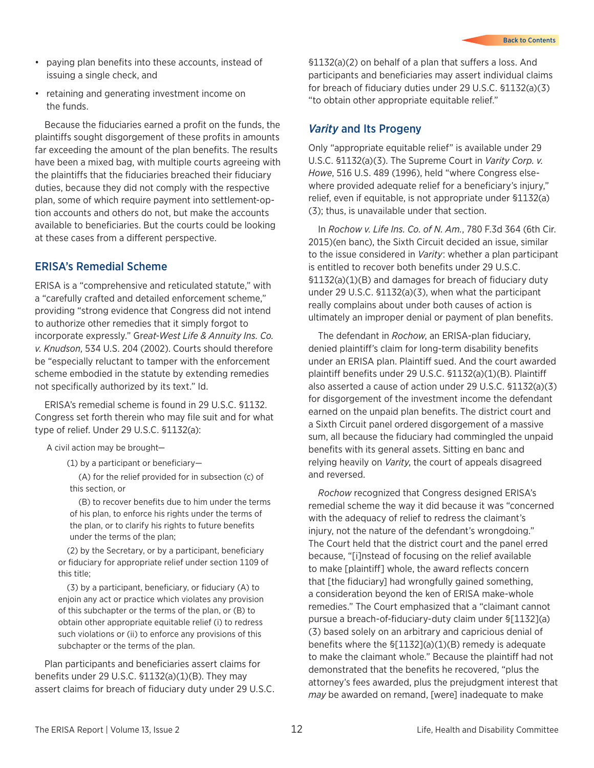- paying plan benefits into these accounts, instead of issuing a single check, and
- retaining and generating investment income on the funds.

Because the fiduciaries earned a profit on the funds, the plaintiffs sought disgorgement of these profits in amounts far exceeding the amount of the plan benefits. The results have been a mixed bag, with multiple courts agreeing with the plaintiffs that the fiduciaries breached their fiduciary duties, because they did not comply with the respective plan, some of which require payment into settlement-option accounts and others do not, but make the accounts available to beneficiaries. But the courts could be looking at these cases from a different perspective.

#### ERISA's Remedial Scheme

ERISA is a "comprehensive and reticulated statute," with a "carefully crafted and detailed enforcement scheme," providing "strong evidence that Congress did not intend to authorize other remedies that it simply forgot to incorporate expressly." Gr*eat-West Life & Annuity Ins. Co. v. Knudson*, 534 U.S. 204 (2002). Courts should therefore be "especially reluctant to tamper with the enforcement scheme embodied in the statute by extending remedies not specifically authorized by its text." Id.

ERISA's remedial scheme is found in 29 U.S.C. §1132. Congress set forth therein who may file suit and for what type of relief. Under 29 U.S.C. §1132(a):

A civil action may be brought—

(1) by a participant or beneficiary—

(A) for the relief provided for in subsection (c) of this section, or

(B) to recover benefits due to him under the terms of his plan, to enforce his rights under the terms of the plan, or to clarify his rights to future benefits under the terms of the plan;

(2) by the Secretary, or by a participant, beneficiary or fiduciary for appropriate relief under section 1109 of this title;

(3) by a participant, beneficiary, or fiduciary (A) to enjoin any act or practice which violates any provision of this subchapter or the terms of the plan, or (B) to obtain other appropriate equitable relief (i) to redress such violations or (ii) to enforce any provisions of this subchapter or the terms of the plan.

Plan participants and beneficiaries assert claims for benefits under 29 U.S.C. §1132(a)(1)(B). They may assert claims for breach of fiduciary duty under 29 U.S.C. §1132(a)(2) on behalf of a plan that suffers a loss. And participants and beneficiaries may assert individual claims for breach of fiduciary duties under 29 U.S.C. §1132(a)(3) "to obtain other appropriate equitable relief."

#### *Varity* and Its Progeny

Only "appropriate equitable relief" is available under 29 U.S.C. §1132(a)(3). The Supreme Court in *Varity Corp. v. Howe*, 516 U.S. 489 (1996), held "where Congress elsewhere provided adequate relief for a beneficiary's injury," relief, even if equitable, is not appropriate under §1132(a) (3); thus, is unavailable under that section.

In *Rochow v. Life Ins. Co. of N. Am.*, 780 F.3d 364 (6th Cir. 2015)(en banc), the Sixth Circuit decided an issue, similar to the issue considered in *Varity*: whether a plan participant is entitled to recover both benefits under 29 U.S.C. §1132(a)(1)(B) and damages for breach of fiduciary duty under 29 U.S.C. §1132(a)(3), when what the participant really complains about under both causes of action is ultimately an improper denial or payment of plan benefits.

The defendant in *Rochow*, an ERISA-plan fiduciary, denied plaintiff's claim for long-term disability benefits under an ERISA plan. Plaintiff sued. And the court awarded plaintiff benefits under 29 U.S.C. §1132(a)(1)(B). Plaintiff also asserted a cause of action under 29 U.S.C. §1132(a)(3) for disgorgement of the investment income the defendant earned on the unpaid plan benefits. The district court and a Sixth Circuit panel ordered disgorgement of a massive sum, all because the fiduciary had commingled the unpaid benefits with its general assets. Sitting en banc and relying heavily on *Varity*, the court of appeals disagreed and reversed.

*Rochow* recognized that Congress designed ERISA's remedial scheme the way it did because it was "concerned with the adequacy of relief to redress the claimant's injury, not the nature of the defendant's wrongdoing." The Court held that the district court and the panel erred because, "[i]nstead of focusing on the relief available to make [plaintiff] whole, the award reflects concern that [the fiduciary] had wrongfully gained something, a consideration beyond the ken of ERISA make-whole remedies." The Court emphasized that a "claimant cannot pursue a breach-of-fiduciary-duty claim under §[1132](a) (3) based solely on an arbitrary and capricious denial of benefits where the §[1132](a)(1)(B) remedy is adequate to make the claimant whole." Because the plaintiff had not demonstrated that the benefits he recovered, "plus the attorney's fees awarded, plus the prejudgment interest that *may* be awarded on remand, [were] inadequate to make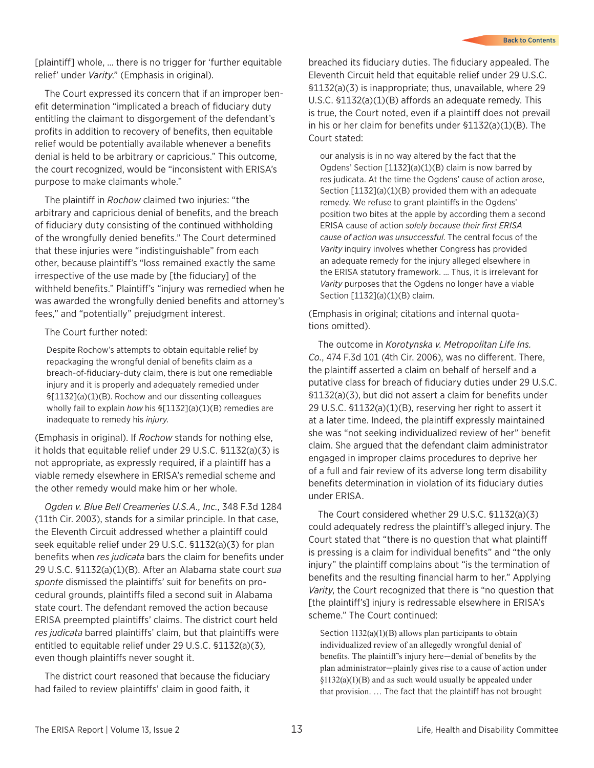[plaintiff] whole, … there is no trigger for 'further equitable relief' under *Varity*." (Emphasis in original).

The Court expressed its concern that if an improper benefit determination "implicated a breach of fiduciary duty entitling the claimant to disgorgement of the defendant's profits in addition to recovery of benefits, then equitable relief would be potentially available whenever a benefits denial is held to be arbitrary or capricious." This outcome, the court recognized, would be "inconsistent with ERISA's purpose to make claimants whole."

The plaintiff in *Rochow* claimed two injuries: "the arbitrary and capricious denial of benefits, and the breach of fiduciary duty consisting of the continued withholding of the wrongfully denied benefits." The Court determined that these injuries were "indistinguishable" from each other, because plaintiff's "loss remained exactly the same irrespective of the use made by [the fiduciary] of the withheld benefits." Plaintiff's "injury was remedied when he was awarded the wrongfully denied benefits and attorney's fees," and "potentially" prejudgment interest.

The Court further noted:

Despite Rochow's attempts to obtain equitable relief by repackaging the wrongful denial of benefits claim as a breach-of-fiduciary-duty claim, there is but one remediable injury and it is properly and adequately remedied under §[1132](a)(1)(B). Rochow and our dissenting colleagues wholly fail to explain *how* his §[1132](a)(1)(B) remedies are inadequate to remedy his *injury*.

(Emphasis in original). If *Rochow* stands for nothing else, it holds that equitable relief under 29 U.S.C. §1132(a)(3) is not appropriate, as expressly required, if a plaintiff has a viable remedy elsewhere in ERISA's remedial scheme and the other remedy would make him or her whole.

*Ogden v. Blue Bell Creameries U.S.A., Inc.*, 348 F.3d 1284 (11th Cir. 2003), stands for a similar principle. In that case, the Eleventh Circuit addressed whether a plaintiff could seek equitable relief under 29 U.S.C. §1132(a)(3) for plan benefits when *res judicata* bars the claim for benefits under 29 U.S.C. §1132(a)(1)(B). After an Alabama state court *sua sponte* dismissed the plaintiffs' suit for benefits on procedural grounds, plaintiffs filed a second suit in Alabama state court. The defendant removed the action because ERISA preempted plaintiffs' claims. The district court held *res judicata* barred plaintiffs' claim, but that plaintiffs were entitled to equitable relief under 29 U.S.C. §1132(a)(3), even though plaintiffs never sought it.

The district court reasoned that because the fiduciary had failed to review plaintiffs' claim in good faith, it

breached its fiduciary duties. The fiduciary appealed. The Eleventh Circuit held that equitable relief under 29 U.S.C. §1132(a)(3) is inappropriate; thus, unavailable, where 29 U.S.C. §1132(a)(1)(B) affords an adequate remedy. This is true, the Court noted, even if a plaintiff does not prevail in his or her claim for benefits under §1132(a)(1)(B). The Court stated:

our analysis is in no way altered by the fact that the Ogdens' Section [1132](a)(1)(B) claim is now barred by res judicata. At the time the Ogdens' cause of action arose, Section [1132](a)(1)(B) provided them with an adequate remedy. We refuse to grant plaintiffs in the Ogdens' position two bites at the apple by according them a second ERISA cause of action *solely because their first ERISA cause of action was unsuccessful*. The central focus of the *Varity* inquiry involves whether Congress has provided an adequate remedy for the injury alleged elsewhere in the ERISA statutory framework. … Thus, it is irrelevant for *Varity* purposes that the Ogdens no longer have a viable Section [1132](a)(1)(B) claim.

(Emphasis in original; citations and internal quotations omitted).

The outcome in *Korotynska v. Metropolitan Life Ins. Co.*, 474 F.3d 101 (4th Cir. 2006), was no different. There, the plaintiff asserted a claim on behalf of herself and a putative class for breach of fiduciary duties under 29 U.S.C. §1132(a)(3), but did not assert a claim for benefits under 29 U.S.C. §1132(a)(1)(B), reserving her right to assert it at a later time. Indeed, the plaintiff expressly maintained she was "not seeking individualized review of her" benefit claim. She argued that the defendant claim administrator engaged in improper claims procedures to deprive her of a full and fair review of its adverse long term disability benefits determination in violation of its fiduciary duties under ERISA.

The Court considered whether 29 U.S.C. §1132(a)(3) could adequately redress the plaintiff's alleged injury. The Court stated that "there is no question that what plaintiff is pressing is a claim for individual benefits" and "the only injury" the plaintiff complains about "is the termination of benefits and the resulting financial harm to her." Applying *Varity*, the Court recognized that there is "no question that [the plaintiff's] injury is redressable elsewhere in ERISA's scheme." The Court continued:

Section 1132(a)(1)(B) allows plan participants to obtain individualized review of an allegedly wrongful denial of benefits. The plaintiff's injury here—denial of benefits by the plan administrator—plainly gives rise to a cause of action under  $$1132(a)(1)(B)$  and as such would usually be appealed under that provision. … The fact that the plaintiff has not brought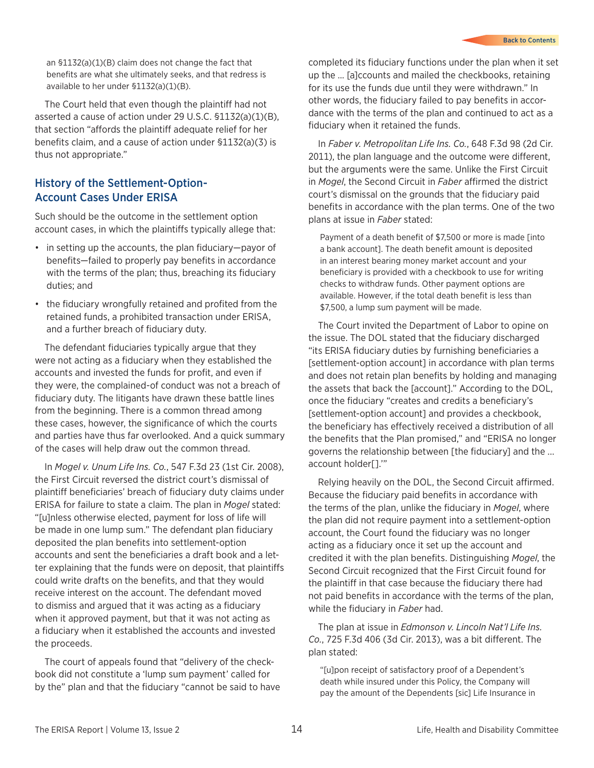an §1132(a)(1)(B) claim does not change the fact that benefits are what she ultimately seeks, and that redress is available to her under §1132(a)(1)(B).

The Court held that even though the plaintiff had not asserted a cause of action under 29 U.S.C. §1132(a)(1)(B), that section "affords the plaintiff adequate relief for her benefits claim, and a cause of action under §1132(a)(3) is thus not appropriate."

#### History of the Settlement-Option-Account Cases Under ERISA

Such should be the outcome in the settlement option account cases, in which the plaintiffs typically allege that:

- in setting up the accounts, the plan fiduciary—payor of benefits—failed to properly pay benefits in accordance with the terms of the plan; thus, breaching its fiduciary duties; and
- the fiduciary wrongfully retained and profited from the retained funds, a prohibited transaction under ERISA, and a further breach of fiduciary duty.

The defendant fiduciaries typically argue that they were not acting as a fiduciary when they established the accounts and invested the funds for profit, and even if they were, the complained-of conduct was not a breach of fiduciary duty. The litigants have drawn these battle lines from the beginning. There is a common thread among these cases, however, the significance of which the courts and parties have thus far overlooked. And a quick summary of the cases will help draw out the common thread.

In *Mogel v. Unum Life Ins. Co.*, 547 F.3d 23 (1st Cir. 2008), the First Circuit reversed the district court's dismissal of plaintiff beneficiaries' breach of fiduciary duty claims under ERISA for failure to state a claim. The plan in *Mogel* stated: "[u]nless otherwise elected, payment for loss of life will be made in one lump sum." The defendant plan fiduciary deposited the plan benefits into settlement-option accounts and sent the beneficiaries a draft book and a letter explaining that the funds were on deposit, that plaintiffs could write drafts on the benefits, and that they would receive interest on the account. The defendant moved to dismiss and argued that it was acting as a fiduciary when it approved payment, but that it was not acting as a fiduciary when it established the accounts and invested the proceeds.

The court of appeals found that "delivery of the checkbook did not constitute a 'lump sum payment' called for by the" plan and that the fiduciary "cannot be said to have completed its fiduciary functions under the plan when it set up the … [a]ccounts and mailed the checkbooks, retaining for its use the funds due until they were withdrawn." In other words, the fiduciary failed to pay benefits in accordance with the terms of the plan and continued to act as a fiduciary when it retained the funds.

In *Faber v. Metropolitan Life Ins. Co.*, 648 F.3d 98 (2d Cir. 2011), the plan language and the outcome were different, but the arguments were the same. Unlike the First Circuit in *Mogel*, the Second Circuit in *Faber* affirmed the district court's dismissal on the grounds that the fiduciary paid benefits in accordance with the plan terms. One of the two plans at issue in *Faber* stated:

Payment of a death benefit of \$7,500 or more is made [into a bank account]. The death benefit amount is deposited in an interest bearing money market account and your beneficiary is provided with a checkbook to use for writing checks to withdraw funds. Other payment options are available. However, if the total death benefit is less than \$7,500, a lump sum payment will be made.

The Court invited the Department of Labor to opine on the issue. The DOL stated that the fiduciary discharged "its ERISA fiduciary duties by furnishing beneficiaries a [settlement-option account] in accordance with plan terms and does not retain plan benefits by holding and managing the assets that back the [account]." According to the DOL, once the fiduciary "creates and credits a beneficiary's [settlement-option account] and provides a checkbook, the beneficiary has effectively received a distribution of all the benefits that the Plan promised," and "ERISA no longer governs the relationship between [the fiduciary] and the ... account holder[].'"

Relying heavily on the DOL, the Second Circuit affirmed. Because the fiduciary paid benefits in accordance with the terms of the plan, unlike the fiduciary in *Mogel*, where the plan did not require payment into a settlement-option account, the Court found the fiduciary was no longer acting as a fiduciary once it set up the account and credited it with the plan benefits. Distinguishing *Mogel*, the Second Circuit recognized that the First Circuit found for the plaintiff in that case because the fiduciary there had not paid benefits in accordance with the terms of the plan, while the fiduciary in *Faber* had.

The plan at issue in *Edmonson v. Lincoln Nat'l Life Ins. Co.*, 725 F.3d 406 (3d Cir. 2013), was a bit different. The plan stated:

"[u]pon receipt of satisfactory proof of a Dependent's death while insured under this Policy, the Company will pay the amount of the Dependents [sic] Life Insurance in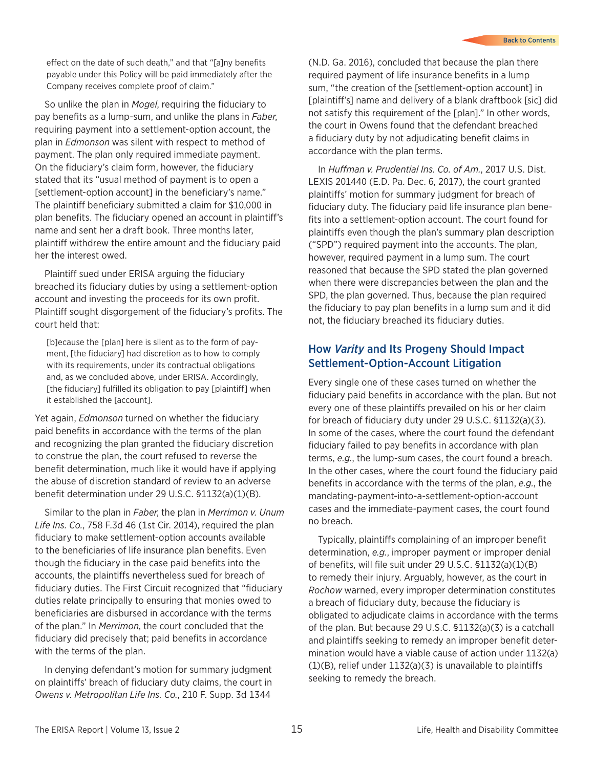effect on the date of such death," and that "[a]ny benefits payable under this Policy will be paid immediately after the Company receives complete proof of claim."

So unlike the plan in *Mogel*, requiring the fiduciary to pay benefits as a lump-sum, and unlike the plans in *Faber*, requiring payment into a settlement-option account, the plan in *Edmonson* was silent with respect to method of payment. The plan only required immediate payment. On the fiduciary's claim form, however, the fiduciary stated that its "usual method of payment is to open a [settlement-option account] in the beneficiary's name." The plaintiff beneficiary submitted a claim for \$10,000 in plan benefits. The fiduciary opened an account in plaintiff's name and sent her a draft book. Three months later, plaintiff withdrew the entire amount and the fiduciary paid her the interest owed.

Plaintiff sued under ERISA arguing the fiduciary breached its fiduciary duties by using a settlement-option account and investing the proceeds for its own profit. Plaintiff sought disgorgement of the fiduciary's profits. The court held that:

[b]ecause the [plan] here is silent as to the form of payment, [the fiduciary] had discretion as to how to comply with its requirements, under its contractual obligations and, as we concluded above, under ERISA. Accordingly, [the fiduciary] fulfilled its obligation to pay [plaintiff] when it established the [account].

Yet again, *Edmonson* turned on whether the fiduciary paid benefits in accordance with the terms of the plan and recognizing the plan granted the fiduciary discretion to construe the plan, the court refused to reverse the benefit determination, much like it would have if applying the abuse of discretion standard of review to an adverse benefit determination under 29 U.S.C. §1132(a)(1)(B).

Similar to the plan in *Faber*, the plan in *Merrimon v. Unum Life Ins. Co.*, 758 F.3d 46 (1st Cir. 2014), required the plan fiduciary to make settlement-option accounts available to the beneficiaries of life insurance plan benefits. Even though the fiduciary in the case paid benefits into the accounts, the plaintiffs nevertheless sued for breach of fiduciary duties. The First Circuit recognized that "fiduciary duties relate principally to ensuring that monies owed to beneficiaries are disbursed in accordance with the terms of the plan." In *Merrimon*, the court concluded that the fiduciary did precisely that; paid benefits in accordance with the terms of the plan.

In denying defendant's motion for summary judgment on plaintiffs' breach of fiduciary duty claims, the court in *Owens v. Metropolitan Life Ins. Co.*, 210 F. Supp. 3d 1344

(N.D. Ga. 2016), concluded that because the plan there required payment of life insurance benefits in a lump sum, "the creation of the [settlement-option account] in [plaintiff's] name and delivery of a blank draftbook [sic] did not satisfy this requirement of the [plan]." In other words, the court in Owens found that the defendant breached a fiduciary duty by not adjudicating benefit claims in accordance with the plan terms.

In *Huffman v. Prudential Ins. Co. of Am.*, 2017 U.S. Dist. LEXIS 201440 (E.D. Pa. Dec. 6, 2017), the court granted plaintiffs' motion for summary judgment for breach of fiduciary duty. The fiduciary paid life insurance plan benefits into a settlement-option account. The court found for plaintiffs even though the plan's summary plan description ("SPD") required payment into the accounts. The plan, however, required payment in a lump sum. The court reasoned that because the SPD stated the plan governed when there were discrepancies between the plan and the SPD, the plan governed. Thus, because the plan required the fiduciary to pay plan benefits in a lump sum and it did not, the fiduciary breached its fiduciary duties.

#### How *Varity* and Its Progeny Should Impact Settlement-Option-Account Litigation

Every single one of these cases turned on whether the fiduciary paid benefits in accordance with the plan. But not every one of these plaintiffs prevailed on his or her claim for breach of fiduciary duty under 29 U.S.C. §1132(a)(3). In some of the cases, where the court found the defendant fiduciary failed to pay benefits in accordance with plan terms, *e.g.*, the lump-sum cases, the court found a breach. In the other cases, where the court found the fiduciary paid benefits in accordance with the terms of the plan, *e.g.*, the mandating-payment-into-a-settlement-option-account cases and the immediate-payment cases, the court found no breach.

Typically, plaintiffs complaining of an improper benefit determination, *e.g.*, improper payment or improper denial of benefits, will file suit under 29 U.S.C. §1132(a)(1)(B) to remedy their injury. Arguably, however, as the court in *Rochow* warned, every improper determination constitutes a breach of fiduciary duty, because the fiduciary is obligated to adjudicate claims in accordance with the terms of the plan. But because 29 U.S.C. §1132(a)(3) is a catchall and plaintiffs seeking to remedy an improper benefit determination would have a viable cause of action under 1132(a) (1)(B), relief under 1132(a)(3) is unavailable to plaintiffs seeking to remedy the breach.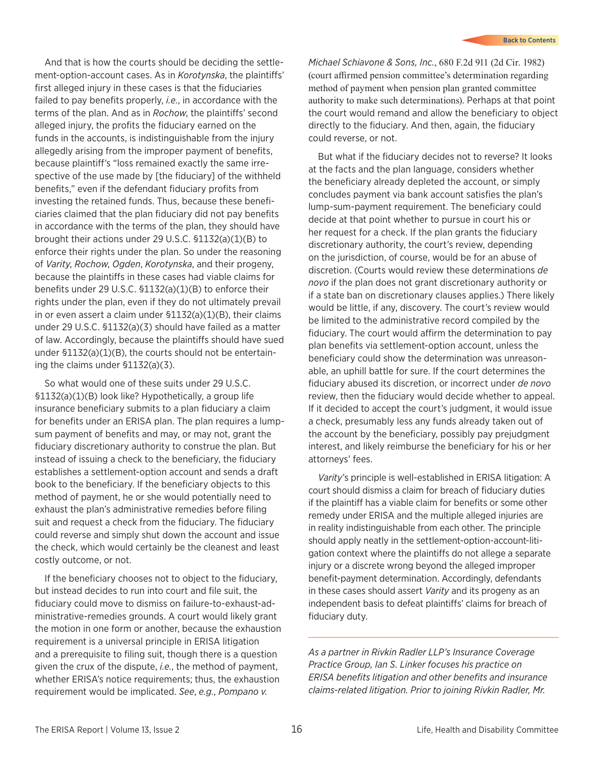And that is how the courts should be deciding the settlement-option-account cases. As in *Korotynska*, the plaintiffs' first alleged injury in these cases is that the fiduciaries failed to pay benefits properly, *i.e.*, in accordance with the terms of the plan. And as in *Rochow*, the plaintiffs' second alleged injury, the profits the fiduciary earned on the funds in the accounts, is indistinguishable from the injury allegedly arising from the improper payment of benefits, because plaintiff's "loss remained exactly the same irrespective of the use made by [the fiduciary] of the withheld benefits," even if the defendant fiduciary profits from investing the retained funds. Thus, because these beneficiaries claimed that the plan fiduciary did not pay benefits in accordance with the terms of the plan, they should have brought their actions under 29 U.S.C. §1132(a)(1)(B) to enforce their rights under the plan. So under the reasoning of *Varity*, *Rochow*, *Ogden*, *Korotynska*, and their progeny, because the plaintiffs in these cases had viable claims for benefits under 29 U.S.C. §1132(a)(1)(B) to enforce their rights under the plan, even if they do not ultimately prevail in or even assert a claim under §1132(a)(1)(B), their claims under 29 U.S.C. §1132(a)(3) should have failed as a matter of law. Accordingly, because the plaintiffs should have sued under §1132(a)(1)(B), the courts should not be entertaining the claims under §1132(a)(3).

So what would one of these suits under 29 U.S.C. §1132(a)(1)(B) look like? Hypothetically, a group life insurance beneficiary submits to a plan fiduciary a claim for benefits under an ERISA plan. The plan requires a lumpsum payment of benefits and may, or may not, grant the fiduciary discretionary authority to construe the plan. But instead of issuing a check to the beneficiary, the fiduciary establishes a settlement-option account and sends a draft book to the beneficiary. If the beneficiary objects to this method of payment, he or she would potentially need to exhaust the plan's administrative remedies before filing suit and request a check from the fiduciary. The fiduciary could reverse and simply shut down the account and issue the check, which would certainly be the cleanest and least costly outcome, or not.

If the beneficiary chooses not to object to the fiduciary, but instead decides to run into court and file suit, the fiduciary could move to dismiss on failure-to-exhaust-administrative-remedies grounds. A court would likely grant the motion in one form or another, because the exhaustion requirement is a universal principle in ERISA litigation and a prerequisite to filing suit, though there is a question given the crux of the dispute, *i.e.*, the method of payment, whether ERISA's notice requirements; thus, the exhaustion requirement would be implicated. *See*, *e.g.*, *Pompano v.* 

*Michael Schiavone & Sons, Inc.*, 680 F.2d 911 (2d Cir. 1982) (court affirmed pension committee's determination regarding method of payment when pension plan granted committee authority to make such determinations). Perhaps at that point the court would remand and allow the beneficiary to object directly to the fiduciary. And then, again, the fiduciary could reverse, or not.

But what if the fiduciary decides not to reverse? It looks at the facts and the plan language, considers whether the beneficiary already depleted the account, or simply concludes payment via bank account satisfies the plan's lump-sum-payment requirement. The beneficiary could decide at that point whether to pursue in court his or her request for a check. If the plan grants the fiduciary discretionary authority, the court's review, depending on the jurisdiction, of course, would be for an abuse of discretion. (Courts would review these determinations *de novo* if the plan does not grant discretionary authority or if a state ban on discretionary clauses applies.) There likely would be little, if any, discovery. The court's review would be limited to the administrative record compiled by the fiduciary. The court would affirm the determination to pay plan benefits via settlement-option account, unless the beneficiary could show the determination was unreasonable, an uphill battle for sure. If the court determines the fiduciary abused its discretion, or incorrect under *de novo*  review, then the fiduciary would decide whether to appeal. If it decided to accept the court's judgment, it would issue a check, presumably less any funds already taken out of the account by the beneficiary, possibly pay prejudgment interest, and likely reimburse the beneficiary for his or her attorneys' fees.

*Varity*'s principle is well-established in ERISA litigation: A court should dismiss a claim for breach of fiduciary duties if the plaintiff has a viable claim for benefits or some other remedy under ERISA and the multiple alleged injuries are in reality indistinguishable from each other. The principle should apply neatly in the settlement-option-account-litigation context where the plaintiffs do not allege a separate injury or a discrete wrong beyond the alleged improper benefit-payment determination. Accordingly, defendants in these cases should assert *Varity* and its progeny as an independent basis to defeat plaintiffs' claims for breach of fiduciary duty.

*As a partner in Rivkin Radler LLP's Insurance Coverage Practice Group, Ian S. Linker focuses his practice on ERISA benefits litigation and other benefits and insurance claims-related litigation. Prior to joining Rivkin Radler, Mr.*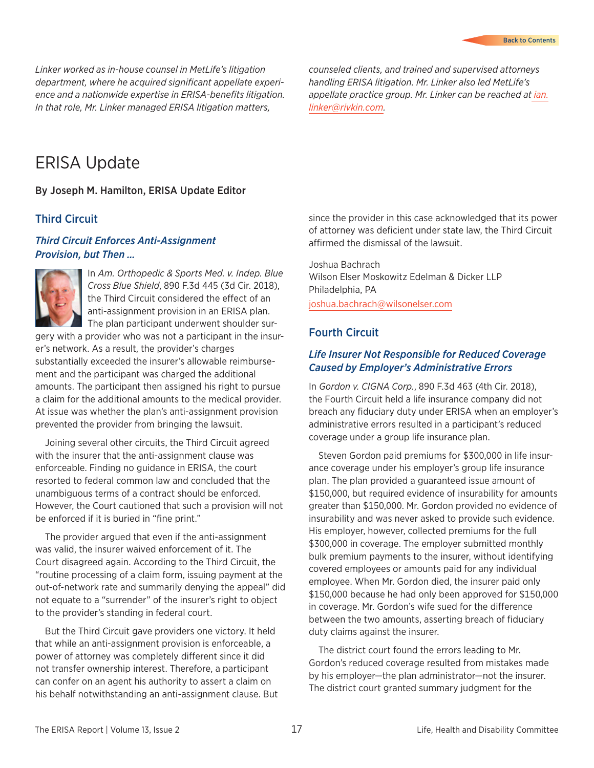<span id="page-16-0"></span>*Linker worked as in-house counsel in MetLife's litigation department, where he acquired significant appellate experience and a nationwide expertise in ERISA-benefits litigation. In that role, Mr. Linker managed ERISA litigation matters,* 

*counseled clients, and trained and supervised attorneys handling ERISA litigation. Mr. Linker also led MetLife's appellate practice group. Mr. Linker can be reached a[t ian.](mailto:%20ian.linker%40rivkin.com?subject=) [linker@rivkin.com](mailto:%20ian.linker%40rivkin.com?subject=).*

### ERISA Update

By Joseph M. Hamilton, ERISA Update Editor

#### Third Circuit

#### *Third Circuit Enforces Anti-Assignment Provision, but Then …*



In *Am. Orthopedic & Sports Med. v. Indep. Blue Cross Blue Shield*, 890 F.3d 445 (3d Cir. 2018), the Third Circuit considered the effect of an anti-assignment provision in an ERISA plan. The plan participant underwent shoulder sur-

gery with a provider who was not a participant in the insurer's network. As a result, the provider's charges substantially exceeded the insurer's allowable reimbursement and the participant was charged the additional amounts. The participant then assigned his right to pursue a claim for the additional amounts to the medical provider. At issue was whether the plan's anti-assignment provision prevented the provider from bringing the lawsuit.

Joining several other circuits, the Third Circuit agreed with the insurer that the anti-assignment clause was enforceable. Finding no guidance in ERISA, the court resorted to federal common law and concluded that the unambiguous terms of a contract should be enforced. However, the Court cautioned that such a provision will not be enforced if it is buried in "fine print."

The provider argued that even if the anti-assignment was valid, the insurer waived enforcement of it. The Court disagreed again. According to the Third Circuit, the "routine processing of a claim form, issuing payment at the out-of-network rate and summarily denying the appeal" did not equate to a "surrender" of the insurer's right to object to the provider's standing in federal court.

But the Third Circuit gave providers one victory. It held that while an anti-assignment provision is enforceable, a power of attorney was completely different since it did not transfer ownership interest. Therefore, a participant can confer on an agent his authority to assert a claim on his behalf notwithstanding an anti-assignment clause. But since the provider in this case acknowledged that its power of attorney was deficient under state law, the Third Circuit affirmed the dismissal of the lawsuit.

Joshua Bachrach Wilson Elser Moskowitz Edelman & Dicker LLP Philadelphia, PA [joshua.bachrach@wilsonelser.com](mailto:joshua.bachrach%40wilsonelser.com?subject=)

### Fourth Circuit

#### *Life Insurer Not Responsible for Reduced Coverage Caused by Employer's Administrative Errors*

In *Gordon v. CIGNA Corp.*, 890 F.3d 463 (4th Cir. 2018), the Fourth Circuit held a life insurance company did not breach any fiduciary duty under ERISA when an employer's administrative errors resulted in a participant's reduced coverage under a group life insurance plan.

Steven Gordon paid premiums for \$300,000 in life insurance coverage under his employer's group life insurance plan. The plan provided a guaranteed issue amount of \$150,000, but required evidence of insurability for amounts greater than \$150,000. Mr. Gordon provided no evidence of insurability and was never asked to provide such evidence. His employer, however, collected premiums for the full \$300,000 in coverage. The employer submitted monthly bulk premium payments to the insurer, without identifying covered employees or amounts paid for any individual employee. When Mr. Gordon died, the insurer paid only \$150,000 because he had only been approved for \$150,000 in coverage. Mr. Gordon's wife sued for the difference between the two amounts, asserting breach of fiduciary duty claims against the insurer.

The district court found the errors leading to Mr. Gordon's reduced coverage resulted from mistakes made by his employer—the plan administrator—not the insurer. The district court granted summary judgment for the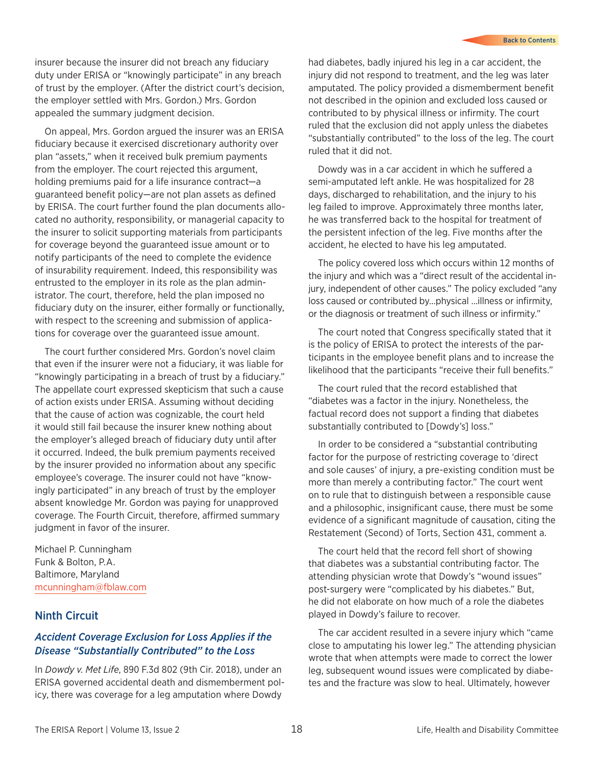<span id="page-17-0"></span>insurer because the insurer did not breach any fiduciary duty under ERISA or "knowingly participate" in any breach of trust by the employer. (After the district court's decision, the employer settled with Mrs. Gordon.) Mrs. Gordon appealed the summary judgment decision.

On appeal, Mrs. Gordon argued the insurer was an ERISA fiduciary because it exercised discretionary authority over plan "assets," when it received bulk premium payments from the employer. The court rejected this argument, holding premiums paid for a life insurance contract—a guaranteed benefit policy—are not plan assets as defined by ERISA. The court further found the plan documents allocated no authority, responsibility, or managerial capacity to the insurer to solicit supporting materials from participants for coverage beyond the guaranteed issue amount or to notify participants of the need to complete the evidence of insurability requirement. Indeed, this responsibility was entrusted to the employer in its role as the plan administrator. The court, therefore, held the plan imposed no fiduciary duty on the insurer, either formally or functionally, with respect to the screening and submission of applications for coverage over the guaranteed issue amount.

The court further considered Mrs. Gordon's novel claim that even if the insurer were not a fiduciary, it was liable for "knowingly participating in a breach of trust by a fiduciary." The appellate court expressed skepticism that such a cause of action exists under ERISA. Assuming without deciding that the cause of action was cognizable, the court held it would still fail because the insurer knew nothing about the employer's alleged breach of fiduciary duty until after it occurred. Indeed, the bulk premium payments received by the insurer provided no information about any specific employee's coverage. The insurer could not have "knowingly participated" in any breach of trust by the employer absent knowledge Mr. Gordon was paying for unapproved coverage. The Fourth Circuit, therefore, affirmed summary judgment in favor of the insurer.

Michael P. Cunningham Funk & Bolton, P.A. Baltimore, Maryland [mcunningham@fblaw.com](mailto:mcunningham%40fblaw.com?subject=)

#### Ninth Circuit

#### *Accident Coverage Exclusion for Loss Applies if the Disease "Substantially Contributed" to the Loss*

In *Dowdy v. Met Life*, 890 F.3d 802 (9th Cir. 2018), under an ERISA governed accidental death and dismemberment policy, there was coverage for a leg amputation where Dowdy

had diabetes, badly injured his leg in a car accident, the injury did not respond to treatment, and the leg was later amputated. The policy provided a dismemberment benefit not described in the opinion and excluded loss caused or contributed to by physical illness or infirmity. The court ruled that the exclusion did not apply unless the diabetes "substantially contributed" to the loss of the leg. The court ruled that it did not.

Dowdy was in a car accident in which he suffered a semi-amputated left ankle. He was hospitalized for 28 days, discharged to rehabilitation, and the injury to his leg failed to improve. Approximately three months later, he was transferred back to the hospital for treatment of the persistent infection of the leg. Five months after the accident, he elected to have his leg amputated.

The policy covered loss which occurs within 12 months of the injury and which was a "direct result of the accidental injury, independent of other causes." The policy excluded "any loss caused or contributed by…physical …illness or infirmity, or the diagnosis or treatment of such illness or infirmity."

The court noted that Congress specifically stated that it is the policy of ERISA to protect the interests of the participants in the employee benefit plans and to increase the likelihood that the participants "receive their full benefits."

The court ruled that the record established that "diabetes was a factor in the injury. Nonetheless, the factual record does not support a finding that diabetes substantially contributed to [Dowdy's] loss."

In order to be considered a "substantial contributing factor for the purpose of restricting coverage to 'direct and sole causes' of injury, a pre-existing condition must be more than merely a contributing factor." The court went on to rule that to distinguish between a responsible cause and a philosophic, insignificant cause, there must be some evidence of a significant magnitude of causation, citing the Restatement (Second) of Torts, Section 431, comment a.

The court held that the record fell short of showing that diabetes was a substantial contributing factor. The attending physician wrote that Dowdy's "wound issues" post-surgery were "complicated by his diabetes." But, he did not elaborate on how much of a role the diabetes played in Dowdy's failure to recover.

The car accident resulted in a severe injury which "came close to amputating his lower leg." The attending physician wrote that when attempts were made to correct the lower leg, subsequent wound issues were complicated by diabetes and the fracture was slow to heal. Ultimately, however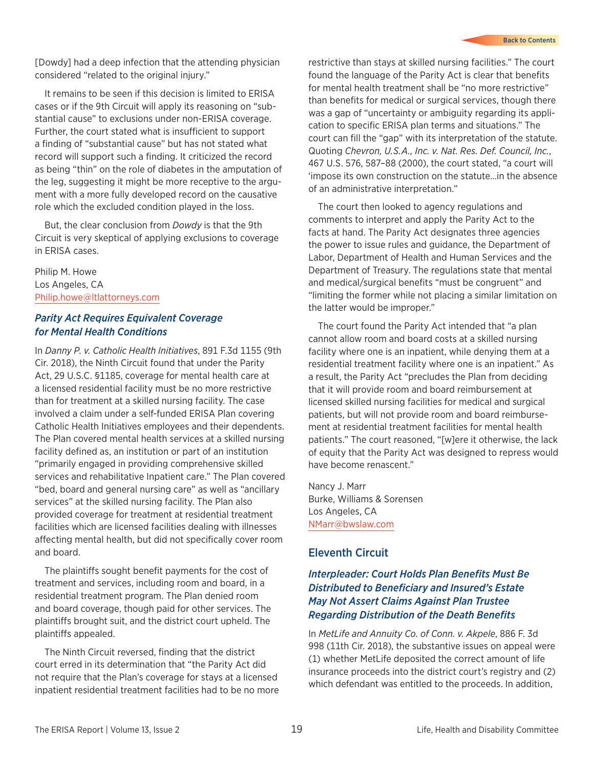<span id="page-18-0"></span>[Dowdy] had a deep infection that the attending physician considered "related to the original injury."

It remains to be seen if this decision is limited to ERISA cases or if the 9th Circuit will apply its reasoning on "substantial cause" to exclusions under non-ERISA coverage. Further, the court stated what is insufficient to support a finding of "substantial cause" but has not stated what record will support such a finding. It criticized the record as being "thin" on the role of diabetes in the amputation of the leg, suggesting it might be more receptive to the argument with a more fully developed record on the causative role which the excluded condition played in the loss.

But, the clear conclusion from *Dowdy* is that the 9th Circuit is very skeptical of applying exclusions to coverage in ERISA cases.

Philip M. Howe Los Angeles, CA [Philip.howe@ltlattorneys.com](mailto:Philip.howe%40ltlattorneys.com?subject=)

#### *Parity Act Requires Equivalent Coverage for Mental Health Conditions*

In *Danny P. v. Catholic Health Initiatives*, 891 F.3d 1155 (9th Cir. 2018), the Ninth Circuit found that under the Parity Act, 29 U.S.C. §1185, coverage for mental health care at a licensed residential facility must be no more restrictive than for treatment at a skilled nursing facility. The case involved a claim under a self-funded ERISA Plan covering Catholic Health Initiatives employees and their dependents. The Plan covered mental health services at a skilled nursing facility defined as, an institution or part of an institution "primarily engaged in providing comprehensive skilled services and rehabilitative Inpatient care." The Plan covered "bed, board and general nursing care" as well as "ancillary services" at the skilled nursing facility. The Plan also provided coverage for treatment at residential treatment facilities which are licensed facilities dealing with illnesses affecting mental health, but did not specifically cover room and board.

The plaintiffs sought benefit payments for the cost of treatment and services, including room and board, in a residential treatment program. The Plan denied room and board coverage, though paid for other services. The plaintiffs brought suit, and the district court upheld. The plaintiffs appealed.

The Ninth Circuit reversed, finding that the district court erred in its determination that "the Parity Act did not require that the Plan's coverage for stays at a licensed inpatient residential treatment facilities had to be no more restrictive than stays at skilled nursing facilities." The court found the language of the Parity Act is clear that benefits for mental health treatment shall be "no more restrictive" than benefits for medical or surgical services, though there was a gap of "uncertainty or ambiguity regarding its application to specific ERISA plan terms and situations." The court can fill the "gap" with its interpretation of the statute. Quoting *Chevron, U.S.A., Inc. v. Nat. Res. Def. Council, Inc.*, 467 U.S. 576, 587–88 (2000), the court stated, "a court will 'impose its own construction on the statute…in the absence of an administrative interpretation."

The court then looked to agency regulations and comments to interpret and apply the Parity Act to the facts at hand. The Parity Act designates three agencies the power to issue rules and guidance, the Department of Labor, Department of Health and Human Services and the Department of Treasury. The regulations state that mental and medical/surgical benefits "must be congruent" and "limiting the former while not placing a similar limitation on the latter would be improper."

The court found the Parity Act intended that "a plan cannot allow room and board costs at a skilled nursing facility where one is an inpatient, while denying them at a residential treatment facility where one is an inpatient." As a result, the Parity Act "precludes the Plan from deciding that it will provide room and board reimbursement at licensed skilled nursing facilities for medical and surgical patients, but will not provide room and board reimbursement at residential treatment facilities for mental health patients." The court reasoned, "[w]ere it otherwise, the lack of equity that the Parity Act was designed to repress would have become renascent."

Nancy J. Marr Burke, Williams & Sorensen Los Angeles, CA [NMarr@bwslaw.com](mailto:NMarr%40bwslaw.com?subject=)

#### Eleventh Circuit

#### *Interpleader: Court Holds Plan Benefits Must Be Distributed to Beneficiary and Insured's Estate May Not Assert Claims Against Plan Trustee Regarding Distribution of the Death Benefits*

In *MetLife and Annuity Co. of Conn. v. Akpele*, 886 F. 3d 998 (11th Cir. 2018), the substantive issues on appeal were (1) whether MetLife deposited the correct amount of life insurance proceeds into the district court's registry and (2) which defendant was entitled to the proceeds. In addition,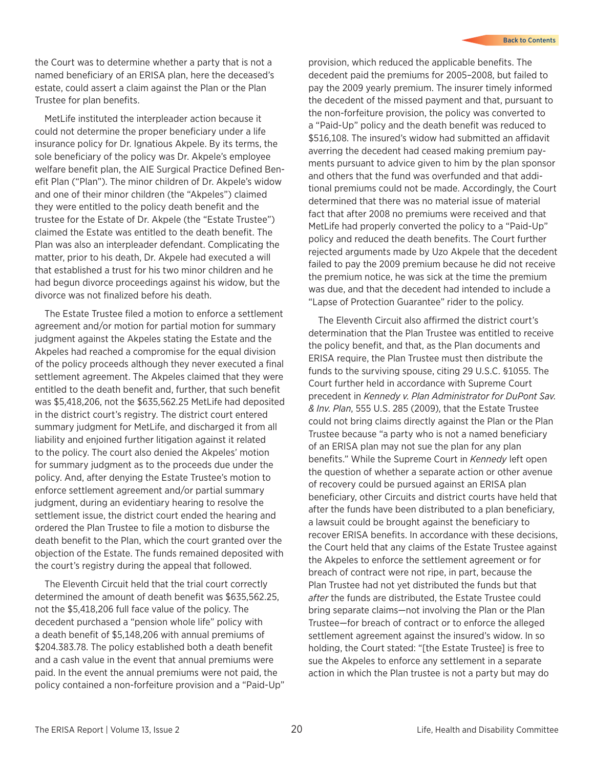the Court was to determine whether a party that is not a named beneficiary of an ERISA plan, here the deceased's estate, could assert a claim against the Plan or the Plan Trustee for plan benefits.

MetLife instituted the interpleader action because it could not determine the proper beneficiary under a life insurance policy for Dr. Ignatious Akpele. By its terms, the sole beneficiary of the policy was Dr. Akpele's employee welfare benefit plan, the AIE Surgical Practice Defined Benefit Plan ("Plan"). The minor children of Dr. Akpele's widow and one of their minor children (the "Akpeles") claimed they were entitled to the policy death benefit and the trustee for the Estate of Dr. Akpele (the "Estate Trustee") claimed the Estate was entitled to the death benefit. The Plan was also an interpleader defendant. Complicating the matter, prior to his death, Dr. Akpele had executed a will that established a trust for his two minor children and he had begun divorce proceedings against his widow, but the divorce was not finalized before his death.

The Estate Trustee filed a motion to enforce a settlement agreement and/or motion for partial motion for summary judgment against the Akpeles stating the Estate and the Akpeles had reached a compromise for the equal division of the policy proceeds although they never executed a final settlement agreement. The Akpeles claimed that they were entitled to the death benefit and, further, that such benefit was \$5,418,206, not the \$635,562.25 MetLife had deposited in the district court's registry. The district court entered summary judgment for MetLife, and discharged it from all liability and enjoined further litigation against it related to the policy. The court also denied the Akpeles' motion for summary judgment as to the proceeds due under the policy. And, after denying the Estate Trustee's motion to enforce settlement agreement and/or partial summary judgment, during an evidentiary hearing to resolve the settlement issue, the district court ended the hearing and ordered the Plan Trustee to file a motion to disburse the death benefit to the Plan, which the court granted over the objection of the Estate. The funds remained deposited with the court's registry during the appeal that followed.

The Eleventh Circuit held that the trial court correctly determined the amount of death benefit was \$635,562.25, not the \$5,418,206 full face value of the policy. The decedent purchased a "pension whole life" policy with a death benefit of \$5,148,206 with annual premiums of \$204.383.78. The policy established both a death benefit and a cash value in the event that annual premiums were paid. In the event the annual premiums were not paid, the policy contained a non-forfeiture provision and a "Paid-Up" provision, which reduced the applicable benefits. The decedent paid the premiums for 2005–2008, but failed to pay the 2009 yearly premium. The insurer timely informed the decedent of the missed payment and that, pursuant to the non-forfeiture provision, the policy was converted to a "Paid-Up" policy and the death benefit was reduced to \$516,108. The insured's widow had submitted an affidavit averring the decedent had ceased making premium payments pursuant to advice given to him by the plan sponsor and others that the fund was overfunded and that additional premiums could not be made. Accordingly, the Court determined that there was no material issue of material fact that after 2008 no premiums were received and that MetLife had properly converted the policy to a "Paid-Up" policy and reduced the death benefits. The Court further rejected arguments made by Uzo Akpele that the decedent failed to pay the 2009 premium because he did not receive the premium notice, he was sick at the time the premium was due, and that the decedent had intended to include a "Lapse of Protection Guarantee" rider to the policy.

The Eleventh Circuit also affirmed the district court's determination that the Plan Trustee was entitled to receive the policy benefit, and that, as the Plan documents and ERISA require, the Plan Trustee must then distribute the funds to the surviving spouse, citing 29 U.S.C. §1055. The Court further held in accordance with Supreme Court precedent in *Kennedy v. Plan Administrator for DuPont Sav. & Inv. Plan*, 555 U.S. 285 (2009), that the Estate Trustee could not bring claims directly against the Plan or the Plan Trustee because "a party who is not a named beneficiary of an ERISA plan may not sue the plan for any plan benefits." While the Supreme Court in *Kennedy* left open the question of whether a separate action or other avenue of recovery could be pursued against an ERISA plan beneficiary, other Circuits and district courts have held that after the funds have been distributed to a plan beneficiary, a lawsuit could be brought against the beneficiary to recover ERISA benefits. In accordance with these decisions, the Court held that any claims of the Estate Trustee against the Akpeles to enforce the settlement agreement or for breach of contract were not ripe, in part, because the Plan Trustee had not yet distributed the funds but that *after* the funds are distributed, the Estate Trustee could bring separate claims—not involving the Plan or the Plan Trustee—for breach of contract or to enforce the alleged settlement agreement against the insured's widow. In so holding, the Court stated: "[the Estate Trustee] is free to sue the Akpeles to enforce any settlement in a separate action in which the Plan trustee is not a party but may do